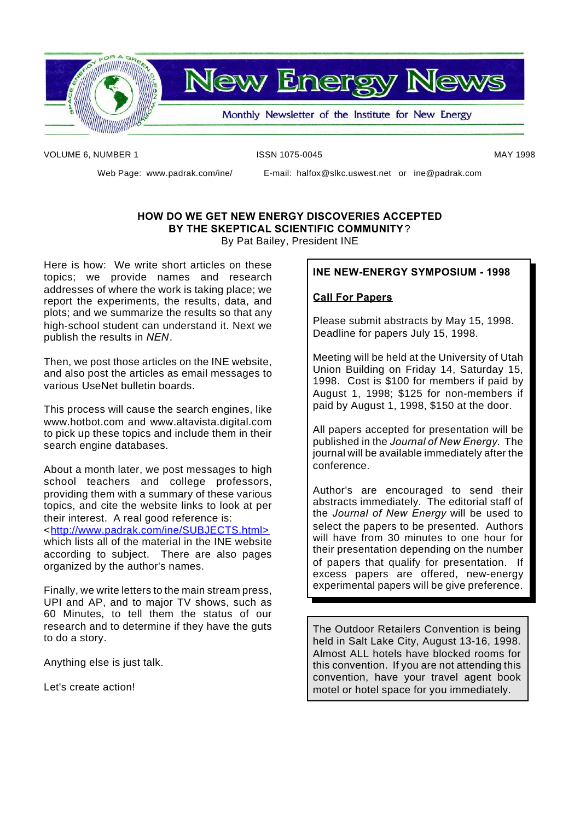

**New Energy News** 

Monthly Newsletter of the Institute for New Energy

VOLUME 6, NUMBER 1 **ISSN 1075-0045** MAY 1998

Web Page: www.padrak.com/ine/ E-mail: halfox@slkc.uswest.net or ine@padrak.com

# **HOW DO WE GET NEW ENERGY DISCOVERIES ACCEPTED BY THE SKEPTICAL SCIENTIFIC COMMUNITY**? By Pat Bailey, President INE

Here is how: We write short articles on these topics; we provide names and research addresses of where the work is taking place; we report the experiments, the results, data, and plots; and we summarize the results so that any high-school student can understand it. Next we publish the results in *NEN*.

Then, we post those articles on the INE website, and also post the articles as email messages to various UseNet bulletin boards.

This process will cause the search engines, like www.hotbot.com and www.altavista.digital.com to pick up these topics and include them in their search engine databases.

About a month later, we post messages to high school teachers and college professors, providing them with a summary of these various topics, and cite the website links to look at per their interest. A real good reference is: <http://www.padrak.com/ine/SUBJECTS.html> which lists all of the material in the INE website according to subject. There are also pages organized by the author's names.

Finally, we write letters to the main stream press, UPI and AP, and to major TV shows, such as 60 Minutes, to tell them the status of our research and to determine if they have the guts to do a story.

Anything else is just talk.

Let's create action!

# **INE NEW-ENERGY SYMPOSIUM - 1998**

# **Call For Papers**

Please submit abstracts by May 15, 1998. Deadline for papers July 15, 1998.

Meeting will be held at the University of Utah Union Building on Friday 14, Saturday 15, 1998. Cost is \$100 for members if paid by August 1, 1998; \$125 for non-members if paid by August 1, 1998, \$150 at the door.

All papers accepted for presentation will be published in the *Journal of New Energy*. The journal will be available immediately after the conference.

Author's are encouraged to send their abstracts immediately. The editorial staff of the *Journal of New Energy* will be used to select the papers to be presented. Authors will have from 30 minutes to one hour for their presentation depending on the number of papers that qualify for presentation. If excess papers are offered, new-energy experimental papers will be give preference.

The Outdoor Retailers Convention is being held in Salt Lake City, August 13-16, 1998. Almost ALL hotels have blocked rooms for this convention. If you are not attending this convention, have your travel agent book motel or hotel space for you immediately.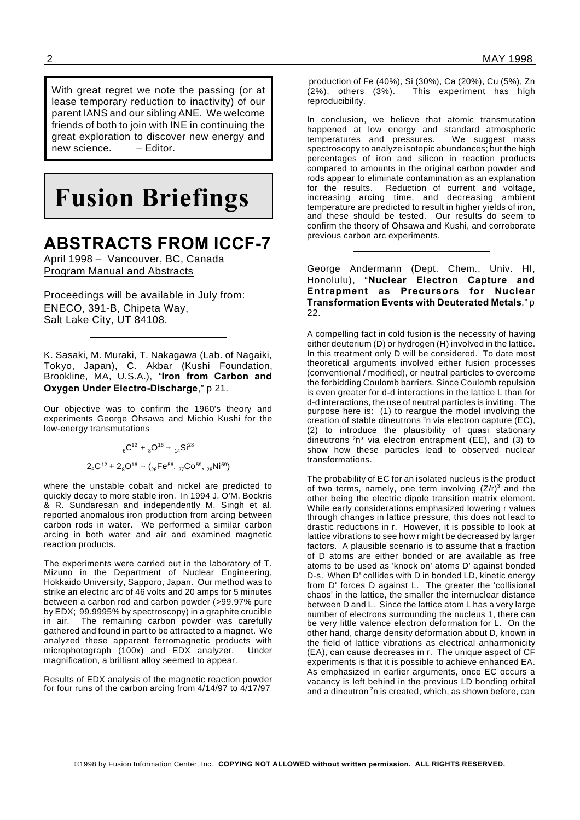With great regret we note the passing (or at lease temporary reduction to inactivity) of our parent IANS and our sibling ANE. We welcome friends of both to join with INE in continuing the great exploration to discover new energy and new science. – Editor.

# **Fusion Briefings**

# **ABSTRACTS FROM ICCF-7**

April 1998 – Vancouver, BC, Canada Program Manual and Abstracts

Proceedings will be available in July from: ENECO, 391-B, Chipeta Way, Salt Lake City, UT 84108.

K. Sasaki, M. Muraki, T. Nakagawa (Lab. of Nagaiki, Tokyo, Japan), C. Akbar (Kushi Foundation, Brookline, MA, U.S.A.), "**Iron from Carbon and Oxygen Under Electro-Discharge**," p 21.

Our objective was to confirm the 1960's theory and experiments George Ohsawa and Michio Kushi for the low-energy transmutations

$$
{}_{6}C^{12} + {}_{8}O^{16} \rightarrow {}_{14}Si^{28}
$$

$$
2{}_{6}C^{12} + 2{}_{8}O^{16} \rightarrow ({}_{26}Fe^{56}, {}_{27}Co^{59}, {}_{28}Ni^{59})
$$

where the unstable cobalt and nickel are predicted to quickly decay to more stable iron. In 1994 J. O'M. Bockris & R. Sundaresan and independently M. Singh et al. reported anomalous iron production from arcing between carbon rods in water. We performed a similar carbon arcing in both water and air and examined magnetic reaction products.

The experiments were carried out in the laboratory of T. Mizuno in the Department of Nuclear Engineering, Hokkaido University, Sapporo, Japan. Our method was to strike an electric arc of 46 volts and 20 amps for 5 minutes between a carbon rod and carbon powder (>99.97% pure by EDX; 99.9995% by spectroscopy) in a graphite crucible in air. The remaining carbon powder was carefully gathered and found in part to be attracted to a magnet. We analyzed these apparent ferromagnetic products with microphotograph (100x) and EDX analyzer. Under magnification, a brilliant alloy seemed to appear.

Results of EDX analysis of the magnetic reaction powder for four runs of the carbon arcing from 4/14/97 to 4/17/97

production of Fe (40%), Si (30%), Ca (20%), Cu (5%), Zn (2%), others (3%). This experiment has high reproducibility.

In conclusion, we believe that atomic transmutation happened at low energy and standard atmospheric temperatures and pressures. We suggest mass spectroscopy to analyze isotopic abundances; but the high percentages of iron and silicon in reaction products compared to amounts in the original carbon powder and rods appear to eliminate contamination as an explanation for the results. Reduction of current and voltage, increasing arcing time, and decreasing ambient temperature are predicted to result in higher yields of iron, and these should be tested. Our results do seem to confirm the theory of Ohsawa and Kushi, and corroborate previous carbon arc experiments.

George Andermann (Dept. Chem., Univ. HI, Honolulu), "**Nuclear Electron Capture and Entrapment as Precursors for Nuclear Transformation Events with Deuterated Metals**," p 22.

A compelling fact in cold fusion is the necessity of having either deuterium (D) or hydrogen (H) involved in the lattice. In this treatment only D will be considered. To date most theoretical arguments involved either fusion processes (conventional / modified), or neutral particles to overcome the forbidding Coulomb barriers. Since Coulomb repulsion is even greater for d-d interactions in the lattice L than for d-d interactions, the use of neutral particles is inviting. The purpose here is: (1) to reargue the model involving the creation of stable dineutrons  $2n$  via electron capture (EC), (2) to introduce the plausibility of quasi stationary dineutrons  $2n^*$  via electron entrapment (EE), and (3) to show how these particles lead to observed nuclear transformations.

The probability of EC for an isolated nucleus is the product of two terms, namely, one term involving  $(Z/r)^3$  and the other being the electric dipole transition matrix element. While early considerations emphasized lowering r values through changes in lattice pressure, this does not lead to drastic reductions in r. However, it is possible to look at lattice vibrations to see how r might be decreased by larger factors. A plausible scenario is to assume that a fraction of D atoms are either bonded or are available as free atoms to be used as 'knock on' atoms D' against bonded D-s. When D' collides with D in bonded LD, kinetic energy from D' forces D against L. The greater the 'collisional chaos' in the lattice, the smaller the internuclear distance between D and L. Since the lattice atom L has a very large number of electrons surrounding the nucleus 1, there can be very little valence electron deformation for L. On the other hand, charge density deformation about D, known in the field of lattice vibrations as electrical anharmonicity (EA), can cause decreases in r. The unique aspect of CF experiments is that it is possible to achieve enhanced EA. As emphasized in earlier arguments, once EC occurs a vacancy is left behind in the previous LD bonding orbital and a dineutron  $^2$ n is created, which, as shown before, can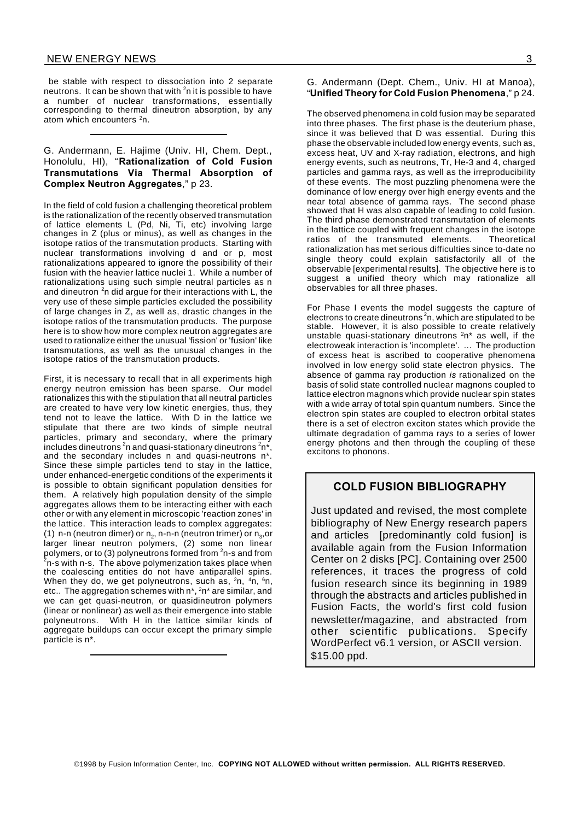be stable with respect to dissociation into 2 separate neutrons. It can be shown that with  ${}^{2}$ n it is possible to have a number of nuclear transformations, essentially corresponding to thermal dineutron absorption, by any atom which encounters <sup>2</sup>n.

#### G. Andermann, E. Hajime (Univ. HI, Chem. Dept., Honolulu, HI), "**Rationalization of Cold Fusion Transmutations Via Thermal Absorption of Complex Neutron Aggregates**," p 23.

In the field of cold fusion a challenging theoretical problem is the rationalization of the recently observed transmutation of lattice elements L (Pd, Ni, Ti, etc) involving large changes in Z (plus or minus), as well as changes in the isotope ratios of the transmutation products. Starting with nuclear transformations involving d and or p, most rationalizations appeared to ignore the possibility of their fusion with the heavier lattice nuclei 1. While a number of rationalizations using such simple neutral particles as n and dineutron <sup>2</sup>n did argue for their interactions with L, the very use of these simple particles excluded the possibility of large changes in Z, as well as, drastic changes in the isotope ratios of the transmutation products. The purpose here is to show how more complex neutron aggregates are used to rationalize either the unusual 'fission' or 'fusion' like transmutations, as well as the unusual changes in the isotope ratios of the transmutation products.

First, it is necessary to recall that in all experiments high energy neutron emission has been sparse. Our model rationalizes this with the stipulation that all neutral particles are created to have very low kinetic energies, thus, they tend not to leave the lattice. With D in the lattice we stipulate that there are two kinds of simple neutral particles, primary and secondary, where the primary includes dineutrons <sup>2</sup>n and quasi-stationary dineutrons  $2n^*$ , and the secondary includes n and quasi-neutrons n\*. Since these simple particles tend to stay in the lattice, under enhanced-energetic conditions of the experiments it is possible to obtain significant population densities for them. A relatively high population density of the simple aggregates allows them to be interacting either with each other or with any element in microscopic 'reaction zones' in the lattice. This interaction leads to complex aggregates: (1) n-n (neutron dimer) or  $\mathsf{n}_2$ , n-n-n (neutron trimer) or  $\mathsf{n}_3$ ,or larger linear neutron polymers, (2) some non linear polymers, or to (3) polyneutrons formed from <sup>2</sup>n-s and from  $2$ n-s with n-s. The above polymerization takes place when the coalescing entities do not have antiparallel spins. When they do, we get polyneutrons, such as, <sup>2</sup>n, <sup>4</sup>n, <sup>6</sup>n, etc.. The aggregation schemes with n\*, <sup>2</sup>n\* are similar, and we can get quasi-neutron, or quasidineutron polymers (linear or nonlinear) as well as their emergence into stable polyneutrons. With H in the lattice similar kinds of aggregate buildups can occur except the primary simple particle is n\*.

#### G. Andermann (Dept. Chem., Univ. HI at Manoa), "**Unified Theory for Cold Fusion Phenomena**," p 24.

The observed phenomena in cold fusion may be separated into three phases. The first phase is the deuterium phase, since it was believed that D was essential. During this phase the observable included low energy events, such as, excess heat, UV and X-ray radiation, electrons, and high energy events, such as neutrons, Tr, He-3 and 4, charged particles and gamma rays, as well as the irreproducibility of these events. The most puzzling phenomena were the dominance of low energy over high energy events and the near total absence of gamma rays. The second phase showed that H was also capable of leading to cold fusion. The third phase demonstrated transmutation of elements in the lattice coupled with frequent changes in the isotope ratios of the transmuted elements. Theoretical rationalization has met serious difficulties since to-date no single theory could explain satisfactorily all of the observable [experimental results]. The objective here is to suggest a unified theory which may rationalize all observables for all three phases.

For Phase I events the model suggests the capture of electrons to create dineutrons  $^2$ n, which are stipulated to be stable. However, it is also possible to create relatively unstable quasi-stationary dineutrons  $2n^*$  as well, if the electroweak interaction is 'incomplete'. ... The production of excess heat is ascribed to cooperative phenomena involved in low energy solid state electron physics. The absence of gamma ray production *is* rationalized on the basis of solid state controlled nuclear magnons coupled to lattice electron magnons which provide nuclear spin states with a wide array of total spin quantum numbers. Since the electron spin states are coupled to electron orbital states there is a set of electron exciton states which provide the ultimate degradation of gamma rays to a series of lower energy photons and then through the coupling of these excitons to phonons.

# **COLD FUSION BIBLIOGRAPHY**

Just updated and revised, the most complete bibliography of New Energy research papers and articles [predominantly cold fusion] is available again from the Fusion Information Center on 2 disks [PC]. Containing over 2500 references, it traces the progress of cold fusion research since its beginning in 1989 through the abstracts and articles published in Fusion Facts, the world's first cold fusion newsletter/magazine, and abstracted from other scientific publications. Specify WordPerfect v6.1 version, or ASCII version. \$15.00 ppd.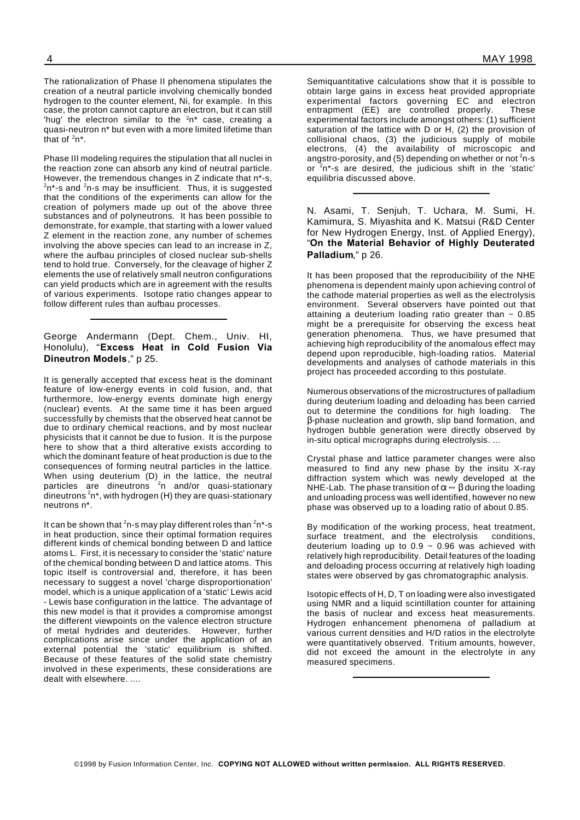The rationalization of Phase II phenomena stipulates the creation of a neutral particle involving chemically bonded hydrogen to the counter element, Ni, for example. In this case, the proton cannot capture an electron, but it can still 'hug' the electron similar to the  $2n^*$  case, creating a quasi-neutron n\* but even with a more limited lifetime than that of  $2n^*$ .

Phase III modeling requires the stipulation that all nuclei in the reaction zone can absorb any kind of neutral particle. However, the tremendous changes in Z indicate that n<sup>\*</sup>-s.  $2n^2$ -s and  $2n$ -s may be insufficient. Thus, it is suggested that the conditions of the experiments can allow for the creation of polymers made up out of the above three substances and of polyneutrons. It has been possible to demonstrate, for example, that starting with a lower valued Z element in the reaction zone, any number of schemes involving the above species can lead to an increase in Z, where the aufbau principles of closed nuclear sub-shells tend to hold true. Conversely, for the cleavage of higher Z elements the use of relatively small neutron configurations can yield products which are in agreement with the results of various experiments. Isotope ratio changes appear to follow different rules than aufbau processes.

#### George Andermann (Dept. Chem., Univ. HI, Honolulu), "**Excess Heat in Cold Fusion Via Dineutron Models**," p 25.

It is generally accepted that excess heat is the dominant feature of low-energy events in cold fusion, and, that furthermore, low-energy events dominate high energy (nuclear) events. At the same time it has been argued successfully by chemists that the observed heat cannot be due to ordinary chemical reactions, and by most nuclear physicists that it cannot be due to fusion. It is the purpose here to show that a third alterative exists according to which the dominant feature of heat production is due to the consequences of forming neutral particles in the lattice. When using deuterium (D) in the lattice, the neutral particles are dineutrons <sup>2</sup>n and/or quasi-stationary dineutrons  $^2$ n\*, with hydrogen (H) they are quasi-stationary neutrons n\*.

It can be shown that <sup>2</sup>n-s may play different roles than  $2n^*$ -s in heat production, since their optimal formation requires different kinds of chemical bonding between D and lattice atoms L. First, it is necessary to consider the 'static' nature of the chemical bonding between D and lattice atoms. This topic itself is controversial and, therefore, it has been necessary to suggest a novel 'charge disproportionation' model, which is a unique application of a 'static' Lewis acid - Lewis base configuration in the lattice. The advantage of this new model is that it provides a compromise amongst the different viewpoints on the valence electron structure of metal hydrides and deuterides. However, further complications arise since under the application of an external potential the 'static' equilibrium is shifted. Because of these features of the solid state chemistry involved in these experiments, these considerations are dealt with elsewhere. ....

Semiquantitative calculations show that it is possible to obtain large gains in excess heat provided appropriate experimental factors governing EC and electron entrapment (EE) are controlled properly. These experimental factors include amongst others: (1) sufficient saturation of the lattice with D or H, (2) the provision of collisional chaos, (3) the judicious supply of mobile electrons, (4) the availability of microscopic and angstro-porosity, and (5) depending on whether or not  $^2$ n-s or <sup>2</sup>n\*-s are desired, the judicious shift in the 'static' equilibria discussed above.

N. Asami, T. Senjuh, T. Uchara, M. Sumi, H. Kamimura, S. Miyashita and K. Matsui (R&D Center for New Hydrogen Energy, Inst. of Applied Energy), "**On the Material Behavior of Highly Deuterated Palladium**," p 26.

It has been proposed that the reproducibility of the NHE phenomena is dependent mainly upon achieving control of the cathode material properties as well as the electrolysis environment. Several observers have pointed out that attaining a deuterium loading ratio greater than  $\sim 0.85$ might be a prerequisite for observing the excess heat generation phenomena. Thus, we have presumed that achieving high reproducibility of the anomalous effect may depend upon reproducible, high-loading ratios. Material developments and analyses of cathode materials in this project has proceeded according to this postulate.

Numerous observations of the microstructures of palladium during deuterium loading and deloading has been carried out to determine the conditions for high loading. The -phase nucleation and growth, slip band formation, and hydrogen bubble generation were directly observed by in-situ optical micrographs during electrolysis. ...

Crystal phase and lattice parameter changes were also measured to find any new phase by the insitu X-ray diffraction system which was newly developed at the NHE-Lab. The phase transition of  $\alpha \leftrightarrow \beta$  during the loading and unloading process was well identified, however no new phase was observed up to a loading ratio of about 0.85.

By modification of the working process, heat treatment, surface treatment, and the electrolysis conditions, deuterium loading up to  $0.9 \sim 0.96$  was achieved with relatively high reproducibility. Detail features of the loading and deloading process occurring at relatively high loading states were observed by gas chromatographic analysis.

Isotopic effects of H, D, T on loading were also investigated using NMR and a liquid scintillation counter for attaining the basis of nuclear and excess heat measurements. Hydrogen enhancement phenomena of palladium at various current densities and H/D ratios in the electrolyte were quantitatively observed. Tritium amounts, however, did not exceed the amount in the electrolyte in any measured specimens.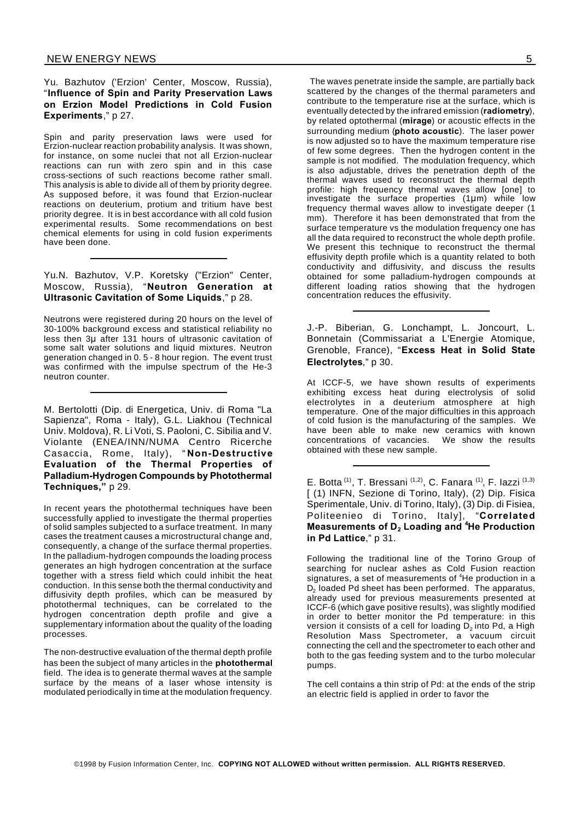Yu. Bazhutov ('Erzion' Center, Moscow, Russia), "**Influence of Spin and Parity Preservation Laws on Erzion Model Predictions in Cold Fusion Experiments**," p 27.

Spin and parity preservation laws were used for Erzion-nuclear reaction probability analysis. It was shown, for instance, on some nuclei that not all Erzion-nuclear reactions can run with zero spin and in this case cross-sections of such reactions become rather small. This analysis is able to divide all of them by priority degree. As supposed before, it was found that Erzion-nuclear reactions on deuterium, protium and tritium have best priority degree. It is in best accordance with all cold fusion experimental results. Some recommendations on best chemical elements for using in cold fusion experiments have been done.

#### Yu.N. Bazhutov, V.P. Koretsky ("Erzion" Center, Moscow, Russia), "**Neutron Generation at Ultrasonic Cavitation of Some Liquids**," p 28.

Neutrons were registered during 20 hours on the level of 30-100% background excess and statistical reliability no less then 3µ after 131 hours of ultrasonic cavitation of some salt water solutions and liquid mixtures. Neutron generation changed in 0. 5 - 8 hour region. The event trust was confirmed with the impulse spectrum of the He-3 neutron counter.

M. Bertolotti (Dip. di Energetica, Univ. di Roma "La Sapienza", Roma - Italy), G.L. Liakhou (Technical Univ. Moldova), R. Li Voti, S. Paoloni, C. Sibilia and V. Violante (ENEA/INN/NUMA Centro Ricerche Casaccia, Rome, Italy), " **Non-Destructive Evaluation of the Thermal Properties of Palladium-Hydrogen Compounds by Photothermal Techniques,"** p 29.

In recent years the photothermal techniques have been successfully applied to investigate the thermal properties of solid samples subjected to a surface treatment. In many cases the treatment causes a microstructural change and, consequently, a change of the surface thermal properties. In the palladium-hydrogen compounds the loading process generates an high hydrogen concentration at the surface together with a stress field which could inhibit the heat conduction. In this sense both the thermal conductivity and diffusivity depth profiles, which can be measured by photothermal techniques, can be correlated to the hydrogen concentration depth profile and give a supplementary information about the quality of the loading processes.

The non-destructive evaluation of the thermal depth profile has been the subject of many articles in the **photothermal** field. The idea is to generate thermal waves at the sample surface by the means of a laser whose intensity is modulated periodically in time at the modulation frequency.

The waves penetrate inside the sample, are partially back scattered by the changes of the thermal parameters and contribute to the temperature rise at the surface, which is eventually detected by the infrared emission (**radiometry**), by related optothermal (**mirage**) or acoustic effects in the surrounding medium (**photo acoustic**). The laser power is now adjusted so to have the maximum temperature rise of few some degrees. Then the hydrogen content in the sample is not modified. The modulation frequency, which is also adjustable, drives the penetration depth of the thermal waves used to reconstruct the thermal depth profile: high frequency thermal waves allow [one] to investigate the surface properties (1µm) while low frequency thermal waves allow to investigate deeper (1 mm). Therefore it has been demonstrated that from the surface temperature vs the modulation frequency one has all the data required to reconstruct the whole depth profile. We present this technique to reconstruct the thermal effusivity depth profile which is a quantity related to both conductivity and diffusivity, and discuss the results obtained for some palladium-hydrogen compounds at different loading ratios showing that the hydrogen concentration reduces the effusivity.

J.-P. Biberian, G. Lonchampt, L. Joncourt, L. Bonnetain (Commissariat a L'Energie Atomique, Grenoble, France), "**Excess Heat in Solid State Electrolytes**," p 30.

At ICCF-5, we have shown results of experiments exhibiting excess heat during electrolysis of solid electrolytes in a deuterium atmosphere at high temperature. One of the major difficulties in this approach of cold fusion is the manufacturing of the samples. We have been able to make new ceramics with known concentrations of vacancies. We show the results obtained with these new sample.

E. Botta<sup>(1)</sup>, T. Bressani<sup>(1,2)</sup>, C. Fanara<sup>(1)</sup>, F. Iazzi<sup>(1,3)</sup> [ (1) INFN, Sezione di Torino, Italy), (2) Dip. Fisica Sperimentale, Univ. di Torino, Italy), (3) Dip. di Fisiea, Politeenieo di Torino, Italy], "**Correlated Measurements of D<sup>2</sup> Loading and <sup>4</sup>He Production in Pd Lattice**," p 31.

Following the traditional line of the Torino Group of searching for nuclear ashes as Cold Fusion reaction signatures, a set of measurements of <sup>4</sup>He production in a  $\mathsf{D}_2$  loaded Pd sheet has been performed. The apparatus, already used for previous measurements presented at ICCF-6 (which gave positive results), was slightly modified in order to better monitor the Pd temperature: in this version it consists of a cell for loading  $\mathsf{D}_2$  into Pd, a High Resolution Mass Spectrometer, a vacuum circuit connecting the cell and the spectrometer to each other and both to the gas feeding system and to the turbo molecular pumps.

The cell contains a thin strip of Pd: at the ends of the strip an electric field is applied in order to favor the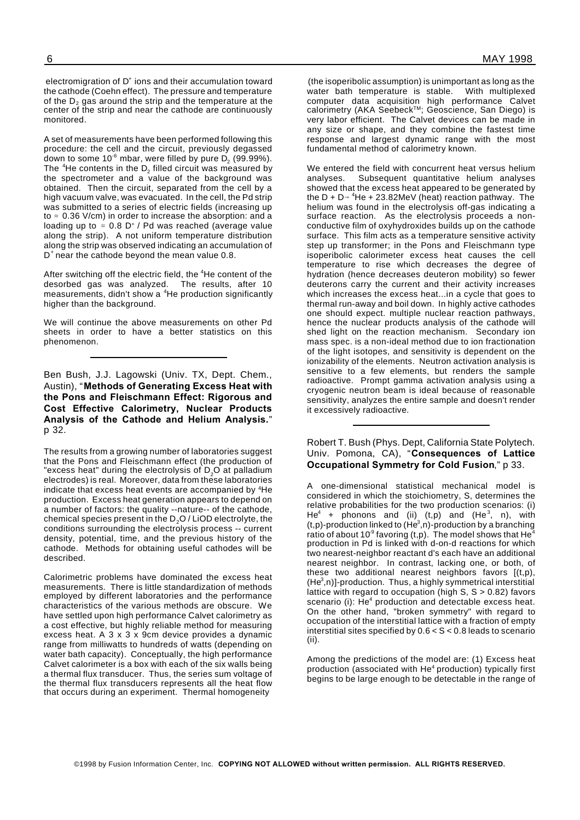electromigration of  $D^*$  ions and their accumulation toward

the cathode (Coehn effect). The pressure and temperature of the  $D_2$  gas around the strip and the temperature at the center of the strip and near the cathode are continuously monitored.

A set of measurements have been performed following this procedure: the cell and the circuit, previously degassed down to some 10 $^{\circ}$  mbar, were filled by pure D $_{2}$  (99.99%). The <sup>4</sup>He contents in the D<sub>2</sub> filled circuit was measured by the spectrometer and a value of the background was obtained. Then the circuit, separated from the cell by a high vacuum valve, was evacuated. In the cell, the Pd strip was submitted to a series of electric fields (increasing up to  $\approx$  0.36 V/cm) in order to increase the absorption: and a loading up to  $\approx 0.8$  D<sup>+</sup> / Pd was reached (average value along the strip). A not uniform temperature distribution along the strip was observed indicating an accumulation of D + near the cathode beyond the mean value 0.8.

After switching off the electric field, the <sup>4</sup>He content of the desorbed gas was analyzed. The results, after 10 measurements, didn't show a <sup>4</sup>He production significantly higher than the background.

We will continue the above measurements on other Pd sheets in order to have a better statistics on this phenomenon.

Ben Bush, J.J. Lagowski (Univ. TX, Dept. Chem., Austin), "**Methods of Generating Excess Heat with the Pons and Fleischmann Effect: Rigorous and Cost Effective Calorimetry, Nuclear Products Analysis of the Cathode and Helium Analysis.**" p 32.

The results from a growing number of laboratories suggest that the Pons and Fleischmann effect (the production of "excess heat" during the electrolysis of D<sub>2</sub>O at palladium electrodes) is real. Moreover, data from these laboratories indicate that excess heat events are accompanied by <sup>4</sup>He production. Excess heat generation appears to depend on a number of factors: the quality --nature-- of the cathode, chemical species present in the  $D_2O$  / LiOD electrolyte, the conditions surrounding the electrolysis process -- current density, potential, time, and the previous history of the cathode. Methods for obtaining useful cathodes will be described.

Calorimetric problems have dominated the excess heat measurements. There is little standardization of methods employed by different laboratories and the performance characteristics of the various methods are obscure. We have settled upon high performance Calvet calorimetry as a cost effective, but highly reliable method for measuring excess heat. A 3 x 3 x 9cm device provides a dynamic range from milliwatts to hundreds of watts (depending on water bath capacity). Conceptually, the high performance Calvet calorimeter is a box with each of the six walls being a thermal flux transducer. Thus, the series sum voltage of the thermal flux transducers represents all the heat flow that occurs during an experiment. Thermal homogeneity

(the isoperibolic assumption) is unimportant as long as the water bath temperature is stable. With multiplexed computer data acquisition high performance Calvet calorimetry (AKA Seebeck™; Geoscience, San Diego) is very labor efficient. The Calvet devices can be made in any size or shape, and they combine the fastest time response and largest dynamic range with the most fundamental method of calorimetry known.

We entered the field with concurrent heat versus helium analyses. Subsequent quantitative helium analyses showed that the excess heat appeared to be generated by the D + D  $\rightarrow$  <sup>4</sup>He + 23.82MeV (heat) reaction pathway. The helium was found in the electrolysis off-gas indicating a surface reaction. As the electrolysis proceeds a nonconductive film of oxyhydroxides builds up on the cathode surface. This film acts as a temperature sensitive activity step up transformer; in the Pons and Fleischmann type isoperibolic calorimeter excess heat causes the cell temperature to rise which decreases the degree of hydration (hence decreases deuteron mobility) so fewer deuterons carry the current and their activity increases which increases the excess heat...in a cycle that goes to thermal run-away and boil down. In highly active cathodes one should expect. multiple nuclear reaction pathways, hence the nuclear products analysis of the cathode will shed light on the reaction mechanism. Secondary ion mass spec. is a non-ideal method due to ion fractionation of the light isotopes, and sensitivity is dependent on the ionizability of the elements. Neutron activation analysis is sensitive to a few elements, but renders the sample radioactive. Prompt gamma activation analysis using a cryogenic neutron beam is ideal because of reasonable sensitivity, analyzes the entire sample and doesn't render it excessively radioactive.

Robert T. Bush (Phys. Dept, California State Polytech. Univ. Pomona, CA), "**Consequences of Lattice Occupational Symmetry for Cold Fusion**," p 33.

A one-dimensional statistical mechanical model is considered in which the stoichiometry, S, determines the relative probabilities for the two production scenarios: (i) He $^4$  + phonons and (ii) (t,p) and (He $^3$ , n), with  $(t,p)$ -production linked to  $(He^3,n)$ -production by a branching ratio of about 10 $^9$  favoring (t,p). The model shows that He $^4\,$ production in Pd is linked with d-on-d reactions for which two nearest-neighbor reactant d's each have an additional nearest neighbor. In contrast, lacking one, or both, of these two additional nearest neighbors favors [(t,p),  $(He<sup>3</sup>,n)$ ]-production. Thus, a highly symmetrical interstitial lattice with regard to occupation (high S, S > 0.82) favors scenario (i): He<sup>4</sup> production and detectable excess heat. On the other hand, "broken symmetry" with regard to occupation of the interstitial lattice with a fraction of empty interstitial sites specified by 0.6 < S < 0.8 leads to scenario (ii).

Among the predictions of the model are: (1) Excess heat production (associated with He<sup>4</sup> production) typically first begins to be large enough to be detectable in the range of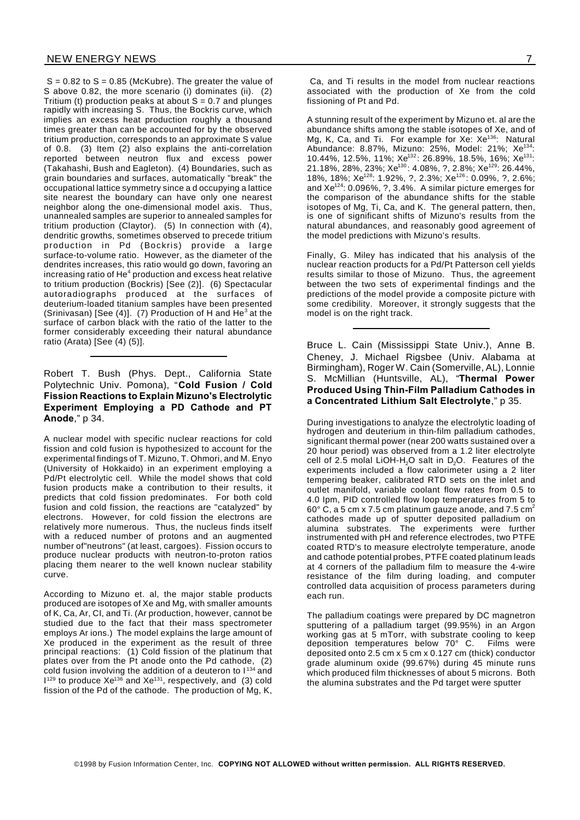$S = 0.82$  to  $S = 0.85$  (McKubre). The greater the value of S above 0.82, the more scenario (i) dominates (ii). (2) Tritium (t) production peaks at about  $S = 0.7$  and plunges rapidly with increasing S. Thus, the Bockris curve, which implies an excess heat production roughly a thousand times greater than can be accounted for by the observed tritium production, corresponds to an approximate S value of 0.8. (3) Item (2) also explains the anti-correlation reported between neutron flux and excess power (Takahashi, Bush and Eagleton). (4) Boundaries, such as grain boundaries and surfaces, automatically "break" the occupational lattice symmetry since a d occupying a lattice site nearest the boundary can have only one nearest neighbor along the one-dimensional model axis. Thus, unannealed samples are superior to annealed samples for tritium production (Claytor). (5) In connection with (4), dendritic growths, sometimes observed to precede tritium production in Pd (Bockris) provide a large surface-to-volume ratio. However, as the diameter of the dendrites increases, this ratio would go down, favoring an increasing ratio of He ${}^{4}$  production and excess heat relative to tritium production (Bockris) [See (2)]. (6) Spectacular autoradiographs produced at the surfaces of deuterium-loaded titanium samples have been presented (Srinivasan) [See (4)]. (7) Production of H and He<sup>3</sup> at the surface of carbon black with the ratio of the latter to the former considerably exceeding their natural abundance ratio (Arata) [See (4) (5)].

## Robert T. Bush (Phys. Dept., California State Polytechnic Univ. Pomona), "**Cold Fusion / Cold Fission Reactions to Explain Mizuno's Electrolytic Experiment Employing a PD Cathode and PT Anode**," p 34.

A nuclear model with specific nuclear reactions for cold fission and cold fusion is hypothesized to account for the experimental findings of T. Mizuno, T. Ohmori, and M. Enyo (University of Hokkaido) in an experiment employing a Pd/Pt electrolytic cell. While the model shows that cold fusion products make a contribution to their results, it predicts that cold fission predominates. For both cold fusion and cold fission, the reactions are "catalyzed" by electrons. However, for cold fission the electrons are relatively more numerous. Thus, the nucleus finds itself with a reduced number of protons and an augmented number of"neutrons" (at least, cargoes). Fission occurs to produce nuclear products with neutron-to-proton ratios placing them nearer to the well known nuclear stability curve.

According to Mizuno et. al, the major stable products produced are isotopes of Xe and Mg, with smaller amounts of K, Ca, Ar, CI, and Ti. (Ar production, however, cannot be studied due to the fact that their mass spectrometer employs Ar ions.) The model explains the large amount of Xe produced in the experiment as the result of three principal reactions: (1) Cold fission of the platinum that plates over from the Pt anode onto the Pd cathode, (2) cold fusion involving the addition of a deuteron to  $1^{134}$  and  $1^{129}$  to produce Xe<sup>136</sup> and Xe<sup>131</sup>, respectively, and (3) cold fission of the Pd of the cathode. The production of Mg, K,

Ca, and Ti results in the model from nuclear reactions associated with the production of Xe from the cold fissioning of Pt and Pd.

A stunning result of the experiment by Mizuno et. al are the abundance shifts among the stable isotopes of Xe, and of Mg, K, Ca, and Ti. For example for Xe: Xe<sup>136</sup>: Natural Abundance: 8.87%, Mizuno: 25%, Model: 21%; Xe<sup>134</sup> 10.44%, 12.5%, 11%;  $Xe^{132}$ : 26.89%, 18.5%, 16%;  $Xe^{131}$ : 21.18%, 28%, 23%; Xe<sup>130</sup>: 4.08%, ?, 2.8%; Xe<sup>129</sup>: 26.44%, 18%, 18%; Xe<sup>128</sup>: 1.92%, ?, 2.3%; Xe<sup>126</sup>: 0.09%, ?, 2.6%; and Xe<sup>124</sup>: 0.096%, ?, 3.4%. A similar picture emerges for the comparison of the abundance shifts for the stable isotopes of Mg, Ti, Ca, and K. The general pattern, then, is one of significant shifts of Mizuno's results from the natural abundances, and reasonably good agreement of the model predictions with Mizuno's results.

Finally, G. Miley has indicated that his analysis of the nuclear reaction products for a Pd/Pt Patterson cell yields results similar to those of Mizuno. Thus, the agreement between the two sets of experimental findings and the predictions of the model provide a composite picture with some credibility. Moreover, it strongly suggests that the model is on the right track.

Bruce L. Cain (Mississippi State Univ.), Anne B. Cheney, J. Michael Rigsbee (Univ. Alabama at Birmingham), Roger W. Cain (Somerville, AL), Lonnie S. McMillian (Huntsville, AL), "**Thermal Power Produced Using Thin-Film Palladium Cathodes in a Concentrated Lithium Salt Electrolyte**," p 35.

During investigations to analyze the electrolytic loading of hydrogen and deuterium in thin-film palladium cathodes, significant thermal power (near 200 watts sustained over a 20 hour period) was observed from a 1.2 liter electrolyte cell of 2.5 molal LiOH-H<sub>2</sub>O salt in  $D_2O$ . Features of the experiments included a flow calorimeter using a 2 liter tempering beaker, calibrated RTD sets on the inlet and outlet manifold, variable coolant flow rates from 0.5 to 4.0 Ipm, PID controlled flow loop temperatures from 5 to 60 $^{\circ}$  C, a 5 cm x 7.5 cm platinum gauze anode, and 7.5 cm<sup>2</sup> cathodes made up of sputter deposited palladium on alumina substrates. The experiments were further instrumented with pH and reference electrodes, two PTFE coated RTD's to measure electrolyte temperature, anode and cathode potential probes, PTFE coated platinum leads at 4 corners of the palladium film to measure the 4-wire resistance of the film during loading, and computer controlled data acquisition of process parameters during each run.

The palladium coatings were prepared by DC magnetron sputtering of a palladium target (99.95%) in an Argon working gas at 5 mTorr, with substrate cooling to keep deposition temperatures below 70° C. Films were deposited onto 2.5 cm x 5 cm x 0.127 cm (thick) conductor grade aluminum oxide (99.67%) during 45 minute runs which produced film thicknesses of about 5 microns. Both the alumina substrates and the Pd target were sputter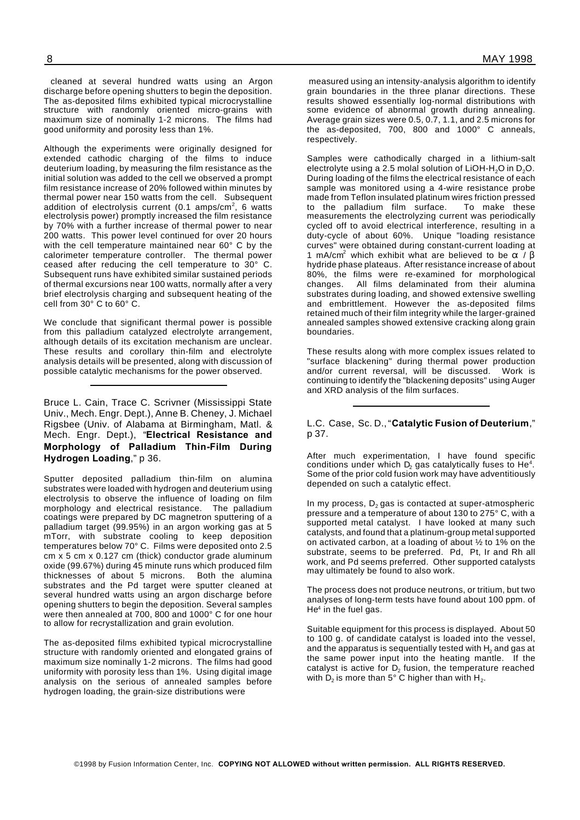cleaned at several hundred watts using an Argon discharge before opening shutters to begin the deposition. The as-deposited films exhibited typical microcrystalline

good uniformity and porosity less than 1%. Although the experiments were originally designed for extended cathodic charging of the films to induce deuterium loading, by measuring the film resistance as the initial solution was added to the cell we observed a prompt film resistance increase of 20% followed within minutes by thermal power near 150 watts from the cell. Subsequent addition of electrolysis current (0.1 amps/cm<sup>2</sup>, 6 watts electrolysis power) promptly increased the film resistance by 70% with a further increase of thermal power to near 200 watts. This power level continued for over 20 hours with the cell temperature maintained near 60° C by the calorimeter temperature controller. The thermal power ceased after reducing the cell temperature to 30° C. Subsequent runs have exhibited similar sustained periods of thermal excursions near 100 watts, normally after a very brief electrolysis charging and subsequent heating of the

structure with randomly oriented micro-grains with maximum size of nominally 1-2 microns. The films had

We conclude that significant thermal power is possible from this palladium catalyzed electrolyte arrangement, although details of its excitation mechanism are unclear. These results and corollary thin-film and electrolyte analysis details will be presented, along with discussion of possible catalytic mechanisms for the power observed.

cell from 30° C to 60° C.

Bruce L. Cain, Trace C. Scrivner (Mississippi State Univ., Mech. Engr. Dept.), Anne B. Cheney, J. Michael Rigsbee (Univ. of Alabama at Birmingham, Matl. & Mech. Engr. Dept.), "**Electrical Resistance and Morphology of Palladium Thin-Film During Hydrogen Loading**," p 36.

Sputter deposited palladium thin-film on alumina substrates were loaded with hydrogen and deuterium using electrolysis to observe the influence of loading on film morphology and electrical resistance. The palladium coatings were prepared by DC magnetron sputtering of a palladium target (99.95%) in an argon working gas at 5 mTorr, with substrate cooling to keep deposition temperatures below 70° C. Films were deposited onto 2.5 cm x 5 cm x 0.127 cm (thick) conductor grade aluminum oxide (99.67%) during 45 minute runs which produced film thicknesses of about 5 microns. Both the alumina substrates and the Pd target were sputter cleaned at several hundred watts using an argon discharge before opening shutters to begin the deposition. Several samples were then annealed at 700, 800 and 1000° C for one hour to allow for recrystallization and grain evolution.

The as-deposited films exhibited typical microcrystalline structure with randomly oriented and elongated grains of maximum size nominally 1-2 microns. The films had good uniformity with porosity less than 1%. Using digital image analysis on the serious of annealed samples before hydrogen loading, the grain-size distributions were

measured using an intensity-analysis algorithm to identify grain boundaries in the three planar directions. These results showed essentially log-normal distributions with some evidence of abnormal growth during annealing. Average grain sizes were 0.5, 0.7, 1.1, and 2.5 microns for the as-deposited, 700, 800 and 1000° C anneals, respectively.

Samples were cathodically charged in a lithium-salt electrolyte using a 2.5 molal solution of LiOH-H<sub>2</sub>O in D<sub>2</sub>O. During loading of the films the electrical resistance of each sample was monitored using a 4-wire resistance probe made from Teflon insulated platinum wires friction pressed to the palladium film surface. To make these measurements the electrolyzing current was periodically cycled off to avoid electrical interference, resulting in a duty-cycle of about 60%. Unique "loading resistance curves" were obtained during constant-current loading at 1 mA/cm<sup>2</sup> which exhibit what are believed to be  $\alpha$  / B hydride phase plateaus. After resistance increase of about 80%, the films were re-examined for morphological changes. All films delaminated from their alumina substrates during loading, and showed extensive swelling and embrittlement. However the as-deposited films retained much of their film integrity while the larger-grained annealed samples showed extensive cracking along grain boundaries.

These results along with more complex issues related to "surface blackening" during thermal power production and/or current reversal, will be discussed. Work is continuing to identify the "blackening deposits" using Auger and XRD analysis of the film surfaces.

#### L.C. Case, Sc. D.,"**Catalytic Fusion of Deuterium**," p 37.

After much experimentation, I have found specific conditions under which  $\mathsf{D}_2$  gas catalytically fuses to He<sup>4</sup>. Some of the prior cold fusion work may have adventitiously depended on such a catalytic effect.

In my process,  $D_2$  gas is contacted at super-atmospheric pressure and a temperature of about 130 to 275° C, with a supported metal catalyst. I have looked at many such catalysts, and found that a platinum-group metal supported on activated carbon, at a loading of about ½ to 1% on the substrate, seems to be preferred. Pd, Pt, Ir and Rh all work, and Pd seems preferred. Other supported catalysts may ultimately be found to also work.

The process does not produce neutrons, or tritium, but two analyses of long-term tests have found about 100 ppm. of He<sup>4</sup> in the fuel gas.

Suitable equipment for this process is displayed. About 50 to 100 g. of candidate catalyst is loaded into the vessel, and the apparatus is sequentially tested with  $H_2$  and gas at the same power input into the heating mantle. If the catalyst is active for  $\mathsf{D}_2$  fusion, the temperature reached with D $_2$  is more than 5° C higher than with H $_2$ .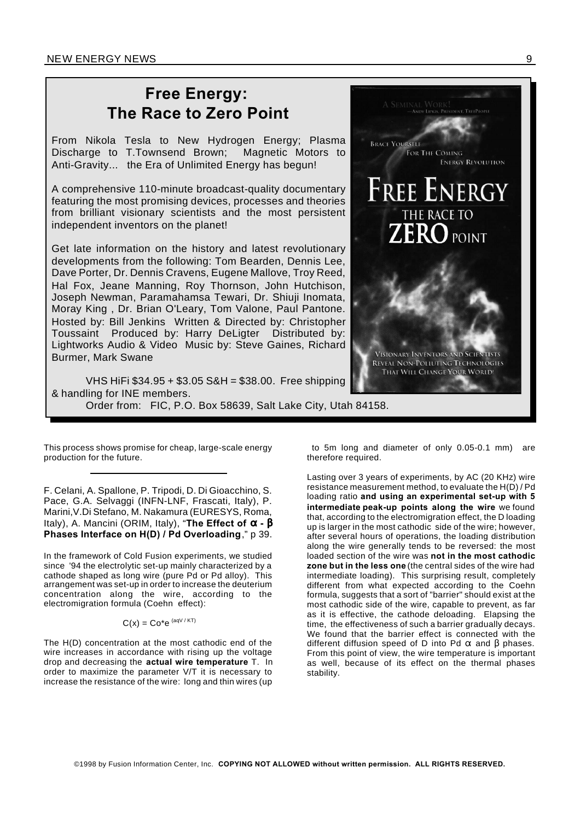# **Free Energy: The Race to Zero Point**

From Nikola Tesla to New Hydrogen Energy; Plasma Discharge to T.Townsend Brown; Magnetic Motors to Anti-Gravity... the Era of Unlimited Energy has begun!

A comprehensive 110-minute broadcast-quality documentary featuring the most promising devices, processes and theories from brilliant visionary scientists and the most persistent independent inventors on the planet!

Get late information on the history and latest revolutionary developments from the following: Tom Bearden, Dennis Lee, Dave Porter, Dr. Dennis Cravens, Eugene Mallove, Troy Reed, Hal Fox, Jeane Manning, Roy Thornson, John Hutchison, Joseph Newman, Paramahamsa Tewari, Dr. Shiuji Inomata, Moray King , Dr. Brian O'Leary, Tom Valone, Paul Pantone. Hosted by: Bill Jenkins Written & Directed by: Christopher Toussaint Produced by: Harry DeLigter Distributed by: Lightworks Audio & Video Music by: Steve Gaines, Richard Burmer, Mark Swane



VHS HiFi \$34.95 + \$3.05 S&H = \$38.00. Free shipping & handling for INE members. Order from: FIC, P.O. Box 58639, Salt Lake City, Utah 84158.

This process shows promise for cheap, large-scale energy production for the future.

F. Celani, A. Spallone, P. Tripodi, D. Di Gioacchino, S. Pace, G.A. Selvaggi (INFN-LNF, Frascati, Italy), P. Marini,V.Di Stefano, M. Nakamura (EURESYS, Roma, Italy), A. Mancini (ORIM, Italy), "The Effect of  $\alpha - \beta$ **Phases Interface on H(D) / Pd Overloading**," p 39.

In the framework of Cold Fusion experiments, we studied since '94 the electrolytic set-up mainly characterized by a cathode shaped as long wire (pure Pd or Pd alloy). This arrangement was set-up in order to increase the deuterium concentration along the wire, according to the electromigration formula (Coehn effect):

# $C(x) = Co*e$  (aqV/KT)

The H(D) concentration at the most cathodic end of the wire increases in accordance with rising up the voltage drop and decreasing the **actual wire temperature** T. In order to maximize the parameter V/T it is necessary to increase the resistance of the wire: long and thin wires (up

to 5m long and diameter of only 0.05-0.1 mm) are therefore required.

Lasting over 3 years of experiments, by AC (20 KHz) wire resistance measurement method, to evaluate the H(D) / Pd loading ratio **and using an experimental set-up with 5 intermediate peak-up points along the wire** we found that, according to the electromigration effect, the D loading up is larger in the most cathodic side of the wire; however, after several hours of operations, the loading distribution along the wire generally tends to be reversed: the most loaded section of the wire was **not in the most cathodic zone but in the less one** (the central sides of the wire had intermediate loading). This surprising result, completely different from what expected according to the Coehn formula, suggests that a sort of "barrier" should exist at the most cathodic side of the wire, capable to prevent, as far as it is effective, the cathode deloading. Elapsing the time, the effectiveness of such a barrier gradually decays. We found that the barrier effect is connected with the different diffusion speed of D into Pd  $\alpha$  and  $\beta$  phases. From this point of view, the wire temperature is important as well, because of its effect on the thermal phases stability.

©1998 by Fusion Information Center, Inc. **COPYING NOT ALLOWED without written permission. ALL RIGHTS RESERVED.**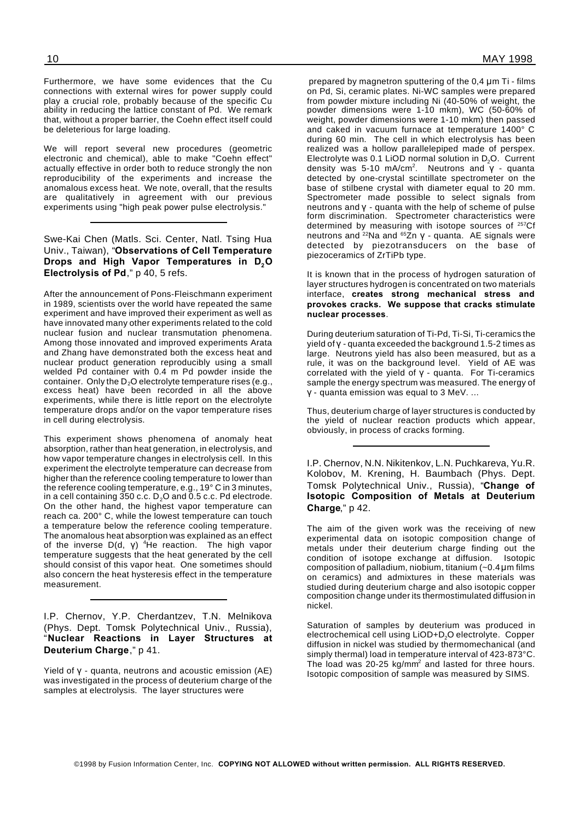Furthermore, we have some evidences that the Cu connections with external wires for power supply could play a crucial role, probably because of the specific Cu ability in reducing the lattice constant of Pd. We remark that, without a proper barrier, the Coehn effect itself could be deleterious for large loading.

We will report several new procedures (geometric electronic and chemical), able to make "Coehn effect" actually effective in order both to reduce strongly the non reproducibility of the experiments and increase the anomalous excess heat. We note, overall, that the results are qualitatively in agreement with our previous experiments using "high peak power pulse electrolysis."

Swe-Kai Chen (Matls. Sci. Center, Natl. Tsing Hua Univ., Taiwan), "**Observations of Cell Temperature Drops and High Vapor Temperatures in D2O Electrolysis of Pd**," p 40, 5 refs.

After the announcement of Pons-Fleischmann experiment in 1989, scientists over the world have repeated the same experiment and have improved their experiment as well as have innovated many other experiments related to the cold nuclear fusion and nuclear transmutation phenomena. Among those innovated and improved experiments Arata and Zhang have demonstrated both the excess heat and nuclear product generation reproducibly using a small welded Pd container with 0.4 m Pd powder inside the container. Only the  $D_2O$  electrolyte temperature rises (e.g., excess heat) have been recorded in all the above experiments, while there is little report on the electrolyte temperature drops and/or on the vapor temperature rises in cell during electrolysis.

This experiment shows phenomena of anomaly heat absorption, rather than heat generation, in electrolysis, and how vapor temperature changes in electrolysis cell. In this experiment the electrolyte temperature can decrease from higher than the reference cooling temperature to lower than the reference cooling temperature, e.g., 19° C in 3 minutes, in a cell containing 350 c.c. D $_{\rm 2}$ O and 0.5 c.c. Pd electrode. On the other hand, the highest vapor temperature can reach ca. 200° C, while the lowest temperature can touch a temperature below the reference cooling temperature. The anomalous heat absorption was explained as an effect of the inverse  $D(d, \gamma)$  <sup>4</sup>He reaction. The high vapor temperature suggests that the heat generated by the cell should consist of this vapor heat. One sometimes should also concern the heat hysteresis effect in the temperature measurement.

I.P. Chernov, Y.P. Cherdantzev, T.N. Melnikova (Phys. Dept. Tomsk Polytechnical Univ., Russia), "**Nuclear Reactions in Layer Structures at Deuterium Charge**," p 41.

Yield of  $\gamma$  - quanta, neutrons and acoustic emission (AE) was investigated in the process of deuterium charge of the samples at electrolysis. The layer structures were

prepared by magnetron sputtering of the  $0.4 \mu m$  Ti - films on Pd, Si, ceramic plates. Ni-WC samples were prepared from powder mixture including Ni (40-50% of weight, the powder dimensions were 1-10 mkm), WC (50-60% of weight, powder dimensions were 1-10 mkm) then passed and caked in vacuum furnace at temperature 1400° C during 60 min. The cell in which electrolysis has been realized was a hollow parallelepiped made of perspex. Electrolyte was 0.1 LiOD normal solution in D<sub>2</sub>O. Current density was 5-10 mA/cm<sup>2</sup>. Neutrons and  $\sqrt{V}$  - quanta detected by one-crystal scintillate spectrometer on the base of stilbene crystal with diameter equal to 20 mm. Spectrometer made possible to select signals from  $neutrons$  and  $\gamma$  - quanta with the help of scheme of pulse form discrimination. Spectrometer characteristics were determined by measuring with isotope sources of <sup>257</sup>Cf neutrons and <sup>22</sup>Na and  $65Zn$  y - quanta. AE signals were detected by piezotransducers on the base of piezoceramics of ZrTiPb type.

It is known that in the process of hydrogen saturation of layer structures hydrogen is concentrated on two materials interface, **creates strong mechanical stress and provokes cracks. We suppose that cracks stimulate nuclear processes**.

During deuterium saturation of Ti-Pd, Ti-Si, Ti-ceramics the yield of  $\gamma$  - quanta exceeded the background 1.5-2 times as large. Neutrons yield has also been measured, but as a rule, it was on the background level. Yield of AE was correlated with the yield of  $y -$  quanta. For Ti-ceramics sample the energy spectrum was measured. The energy of  $y -$  quanta emission was equal to 3 MeV. ...

Thus, deuterium charge of layer structures is conducted by the yield of nuclear reaction products which appear, obviously, in process of cracks forming.

I.P. Chernov, N.N. Nikitenkov, L.N. Puchkareva, Yu.R. Kolobov, M. Krening, H. Baumbach (Phys. Dept. Tomsk Polytechnical Univ., Russia), "**Change of Isotopic Composition of Metals at Deuterium Charge**," p 42.

The aim of the given work was the receiving of new experimental data on isotopic composition change of metals under their deuterium charge finding out the condition of isotope exchange at diffusion. Isotopic composition of palladium, niobium, titanium  $(-0.4 \mu m)$  films on ceramics) and admixtures in these materials was studied during deuterium charge and also isotopic copper composition change under its thermostimulated diffusion in nickel.

Saturation of samples by deuterium was produced in electrochemical cell using LiOD+D<sub>2</sub>O electrolyte. Copper diffusion in nickel was studied by thermomechanical (and simply thermal) load in temperature interval of 423-873°C. The load was  $20-25$  kg/mm<sup>2</sup> and lasted for three hours. Isotopic composition of sample was measured by SIMS.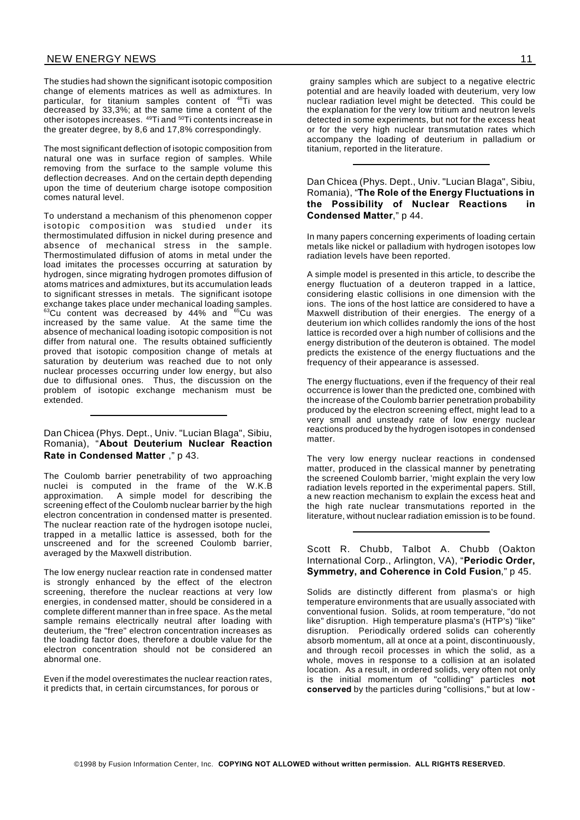The studies had shown the significant isotopic composition change of elements matrices as well as admixtures. In particular, for titanium samples content of <sup>48</sup>Ti was decreased by 33,3%; at the same time a content of the other isotopes increases. <sup>49</sup>Ti and <sup>50</sup>Ti contents increase in the greater degree, by 8,6 and 17,8% correspondingly.

The most significant deflection of isotopic composition from natural one was in surface region of samples. While removing from the surface to the sample volume this deflection decreases. And on the certain depth depending upon the time of deuterium charge isotope composition comes natural level.

To understand a mechanism of this phenomenon copper isotopic composition was studied under its thermostimulated diffusion in nickel during presence and absence of mechanical stress in the sample. Thermostimulated diffusion of atoms in metal under the load imitates the processes occurring at saturation by hydrogen, since migrating hydrogen promotes diffusion of atoms matrices and admixtures, but its accumulation leads to significant stresses in metals. The significant isotope exchange takes place under mechanical loading samples.  $^{63}$ Cu content was decreased by 44% and  $^{65}$ Cu was increased by the same value. At the same time the absence of mechanical loading isotopic composition is not differ from natural one. The results obtained sufficiently proved that isotopic composition change of metals at saturation by deuterium was reached due to not only nuclear processes occurring under low energy, but also due to diffusional ones. Thus, the discussion on the problem of isotopic exchange mechanism must be extended.

#### Dan Chicea (Phys. Dept., Univ. "Lucian Blaga", Sibiu, Romania), "**About Deuterium Nuclear Reaction Rate in Condensed Matter** ," p 43.

The Coulomb barrier penetrability of two approaching nuclei is computed in the frame of the W.K.B approximation. A simple model for describing the screening effect of the Coulomb nuclear barrier by the high electron concentration in condensed matter is presented. The nuclear reaction rate of the hydrogen isotope nuclei, trapped in a metallic lattice is assessed, both for the unscreened and for the screened Coulomb barrier, averaged by the Maxwell distribution.

The low energy nuclear reaction rate in condensed matter is strongly enhanced by the effect of the electron screening, therefore the nuclear reactions at very low energies, in condensed matter, should be considered in a complete different manner than in free space. As the metal sample remains electrically neutral after loading with deuterium, the "free" electron concentration increases as the loading factor does, therefore a double value for the electron concentration should not be considered an abnormal one.

Even if the model overestimates the nuclear reaction rates, it predicts that, in certain circumstances, for porous or

grainy samples which are subject to a negative electric potential and are heavily loaded with deuterium, very low nuclear radiation level might be detected. This could be the explanation for the very low tritium and neutron levels detected in some experiments, but not for the excess heat or for the very high nuclear transmutation rates which accompany the loading of deuterium in palladium or titanium, reported in the literature.

Dan Chicea (Phys. Dept., Univ. "Lucian Blaga", Sibiu, Romania), "**The Role of the Energy Fluctuations in the Possibility of Nuclear Reactions in Condensed Matter**," p 44.

In many papers concerning experiments of loading certain metals like nickel or palladium with hydrogen isotopes low radiation levels have been reported.

A simple model is presented in this article, to describe the energy fluctuation of a deuteron trapped in a lattice, considering elastic collisions in one dimension with the ions. The ions of the host lattice are considered to have a Maxwell distribution of their energies. The energy of a deuterium ion which collides randomly the ions of the host lattice is recorded over a high number of collisions and the energy distribution of the deuteron is obtained. The model predicts the existence of the energy fluctuations and the frequency of their appearance is assessed.

The energy fluctuations, even if the frequency of their real occurrence is lower than the predicted one, combined with the increase of the Coulomb barrier penetration probability produced by the electron screening effect, might lead to a very small and unsteady rate of low energy nuclear reactions produced by the hydrogen isotopes in condensed matter.

The very low energy nuclear reactions in condensed matter, produced in the classical manner by penetrating the screened Coulomb barrier, 'might explain the very low radiation levels reported in the experimental papers. Still, a new reaction mechanism to explain the excess heat and the high rate nuclear transmutations reported in the literature, without nuclear radiation emission is to be found.

#### Scott R. Chubb, Talbot A. Chubb (Oakton International Corp., Arlington, VA), "**Periodic Order, Symmetry, and Coherence in Cold Fusion**," p 45.

Solids are distinctly different from plasma's or high temperature environments that are usually associated with conventional fusion. Solids, at room temperature, "do not like" disruption. High temperature plasma's (HTP's) "like" disruption. Periodically ordered solids can coherently absorb momentum, all at once at a point, discontinuously, and through recoil processes in which the solid, as a whole, moves in response to a collision at an isolated location. As a result, in ordered solids, very often not only is the initial momentum of "colliding" particles **not conserved** by the particles during "collisions," but at low -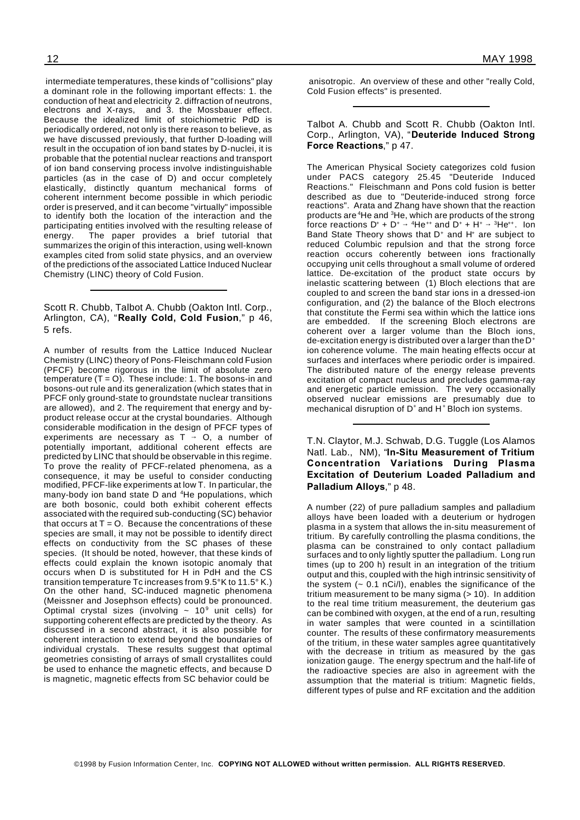intermediate temperatures, these kinds of "collisions" play a dominant role in the following important effects: 1. the conduction of heat and electricity 2. diffraction of neutrons, electrons and X-rays, and 3. the Mossbauer effect. Because the idealized limit of stoichiometric PdD is periodically ordered, not only is there reason to believe, as we have discussed previously, that further D-loading will result in the occupation of ion band states by D-nuclei, it is probable that the potential nuclear reactions and transport of ion band conserving process involve indistinguishable particles (as in the case of D) and occur completely elastically, distinctly quantum mechanical forms of coherent internment become possible in which periodic order is preserved, and it can become "virtually" impossible to identify both the location of the interaction and the participating entities involved with the resulting release of energy. The paper provides a brief tutorial that summarizes the origin of this interaction, using well-known examples cited from solid state physics, and an overview of the predictions of the associated Lattice Induced Nuclear Chemistry (LINC) theory of Cold Fusion.

Scott R. Chubb, Talbot A. Chubb (Oakton Intl. Corp., Arlington, CA), "**Really Cold, Cold Fusion**," p 46, 5 refs.

A number of results from the Lattice Induced Nuclear Chemistry (LINC) theory of Pons-Fleischmann cold Fusion (PFCF) become rigorous in the limit of absolute zero temperature  $(T = 0)$ . These include: 1. The bosons-in and bosons-out rule and its generalization (which states that in PFCF only ground-state to groundstate nuclear transitions are allowed), and 2. The requirement that energy and byproduct release occur at the crystal boundaries. Although considerable modification in the design of PFCF types of experiments are necessary as  $T \rightarrow O$ , a number of potentially important, additional coherent effects are predicted by LINC that should be observable in this regime. To prove the reality of PFCF-related phenomena, as a consequence, it may be useful to consider conducting modified, PFCF-like experiments at low T. In particular, the many-body ion band state D and <sup>4</sup>He populations, which are both bosonic, could both exhibit coherent effects associated with the required sub-conducting (SC) behavior that occurs at  $T = 0$ . Because the concentrations of these species are small, it may not be possible to identify direct effects on conductivity from the SC phases of these species. (It should be noted, however, that these kinds of effects could explain the known isotopic anomaly that occurs when D is substituted for H in PdH and the CS transition temperature Tc increases from 9.5°K to 11.5° K.) On the other hand, SC-induced magnetic phenomena (Meissner and Josephson effects) could be pronounced. Optimal crystal sizes (involving  $\sim 10^9$  unit cells) for supporting coherent effects are predicted by the theory. As discussed in a second abstract, it is also possible for coherent interaction to extend beyond the boundaries of individual crystals. These results suggest that optimal geometries consisting of arrays of small crystallites could be used to enhance the magnetic effects, and because D is magnetic, magnetic effects from SC behavior could be

anisotropic. An overview of these and other "really Cold, Cold Fusion effects" is presented.

Talbot A. Chubb and Scott R. Chubb (Oakton Intl. Corp., Arlington, VA), "**Deuteride Induced Strong Force Reactions**," p 47.

The American Physical Society categorizes cold fusion under PACS category 25.45 "Deuteride Induced Reactions." Fleischmann and Pons cold fusion is better described as due to "Deuteride-induced strong force reactions". Arata and Zhang have shown that the reaction products are <sup>4</sup>He and <sup>3</sup>He, which are products of the strong force reactions  $D^* + D^* \rightarrow {}^4He^{++}$  and  $D^* + H^* \rightarrow {}^3He^{++}$ . Ion Band State Theory shows that  $D^+$  and  $H^+$  are subject to reduced Columbic repulsion and that the strong force reaction occurs coherently between ions fractionally occupying unit cells throughout a small volume of ordered lattice. De-excitation of the product state occurs by inelastic scattering between (1) Bloch elections that are coupled to and screen the band star ions in a dressed-ion configuration, and (2) the balance of the Bloch electrons that constitute the Fermi sea within which the lattice ions are embedded. If the screening Bloch electrons are coherent over a larger volume than the Bloch ions, de-excitation energy is distributed over a larger than the  $D^+$ ion coherence volume. The main heating effects occur at surfaces and interfaces where periodic order is impaired. The distributed nature of the energy release prevents excitation of compact nucleus and precludes gamma-ray and energetic particle emission. The very occasionally observed nuclear emissions are presumably due to mechanical disruption of D<sup>+</sup> and H<sup>+</sup> Bloch ion systems.

T.N. Claytor, M.J. Schwab, D.G. Tuggle (Los Alamos Natl. Lab., NM), "**In-Situ Measurement of Tritium Concentration Variations During Plasma Excitation of Deuterium Loaded Palladium and Palladium Alloys**," p 48.

A number (22) of pure palladium samples and palladium alloys have been loaded with a deuterium or hydrogen plasma in a system that allows the in-situ measurement of tritium. By carefully controlling the plasma conditions, the plasma can be constrained to only contact palladium surfaces and to only lightly sputter the palladium. Long run times (up to 200 h) result in an integration of the tritium output and this, coupled with the high intrinsic sensitivity of the system  $(-0.1 \text{ nCi/l})$ , enables the significance of the tritium measurement to be many sigma  $($  > 10 $)$ . In addition to the real time tritium measurement, the deuterium gas can be combined with oxygen, at the end of a run, resulting in water samples that were counted in a scintillation counter. The results of these confirmatory measurements of the tritium, in these water samples agree quantitatively with the decrease in tritium as measured by the gas ionization gauge. The energy spectrum and the half-life of the radioactive species are also in agreement with the assumption that the material is tritium: Magnetic fields, different types of pulse and RF excitation and the addition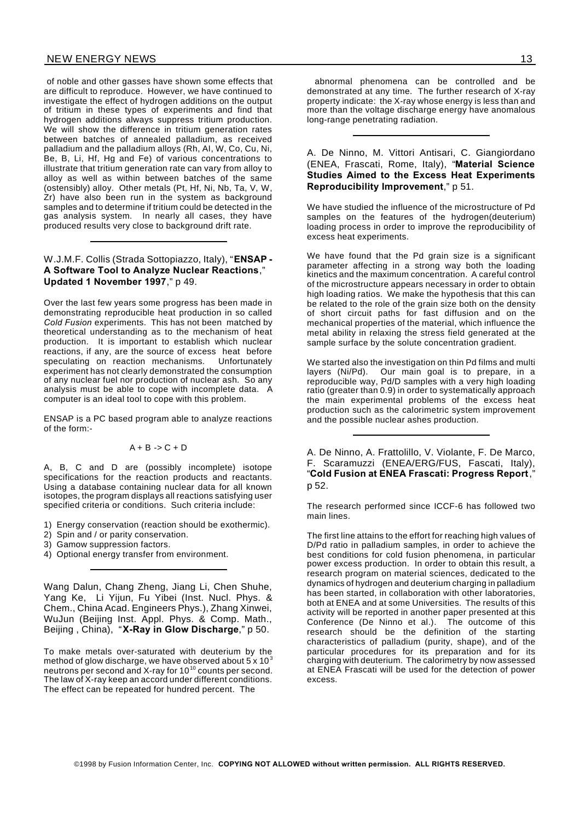#### NEW ENERGY NEWS 13

of noble and other gasses have shown some effects that are difficult to reproduce. However, we have continued to investigate the effect of hydrogen additions on the output of tritium in these types of experiments and find that hydrogen additions always suppress tritium production. We will show the difference in tritium generation rates between batches of annealed palladium, as received palladium and the palladium alloys (Rh, AI, W, Co, Cu, Ni, Be, B, Li, Hf, Hg and Fe) of various concentrations to illustrate that tritium generation rate can vary from alloy to alloy as well as within between batches of the same (ostensibly) alloy. Other metals (Pt, Hf, Ni, Nb, Ta, V, W, Zr) have also been run in the system as background samples and to determine if tritium could be detected in the gas analysis system. In nearly all cases, they have produced results very close to background drift rate.

## W.J.M.F. Collis (Strada Sottopiazzo, Italy), "**ENSAP - A Software Tool to Analyze Nuclear Reactions**," **Updated 1 November 1997**," p 49.

Over the last few years some progress has been made in demonstrating reproducible heat production in so called *Cold Fusion* experiments. This has not been matched by theoretical understanding as to the mechanism of heat production. It is important to establish which nuclear reactions, if any, are the source of excess heat before speculating on reaction mechanisms. Unfortunately experiment has not clearly demonstrated the consumption of any nuclear fuel nor production of nuclear ash. So any analysis must be able to cope with incomplete data. A computer is an ideal tool to cope with this problem.

ENSAP is a PC based program able to analyze reactions of the form:-

#### $A + B \rightarrow C + D$

A, B, C and D are (possibly incomplete) isotope specifications for the reaction products and reactants. Using a database containing nuclear data for all known isotopes, the program displays all reactions satisfying user specified criteria or conditions. Such criteria include:

- 1) Energy conservation (reaction should be exothermic).
- 2) Spin and / or parity conservation.
- 3) Gamow suppression factors.
- 4) Optional energy transfer from environment.

Wang Dalun, Chang Zheng, Jiang Li, Chen Shuhe, Yang Ke, Li Yijun, Fu Yibei (Inst. Nucl. Phys. & Chem., China Acad. Engineers Phys.), Zhang Xinwei, WuJun (Beijing Inst. Appl. Phys. & Comp. Math., Beijing , China), "**X-Ray in Glow Discharge**," p 50.

To make metals over-saturated with deuterium by the method of glow discharge, we have observed about  $5 \times 10^3$ neutrons per second and X-ray for 10 $10^{10}$  counts per second. The law of X-ray keep an accord under different conditions. The effect can be repeated for hundred percent. The

abnormal phenomena can be controlled and be demonstrated at any time. The further research of X-ray property indicate: the X-ray whose energy is less than and more than the voltage discharge energy have anomalous long-range penetrating radiation.

A. De Ninno, M. Vittori Antisari, C. Giangiordano (ENEA, Frascati, Rome, Italy), "**Material Science Studies Aimed to the Excess Heat Experiments Reproducibility Improvement**," p 51.

We have studied the influence of the microstructure of Pd samples on the features of the hydrogen(deuterium) loading process in order to improve the reproducibility of excess heat experiments.

We have found that the Pd grain size is a significant parameter affecting in a strong way both the loading kinetics and the maximum concentration. A careful control of the microstructure appears necessary in order to obtain high loading ratios. We make the hypothesis that this can be related to the role of the grain size both on the density of short circuit paths for fast diffusion and on the mechanical properties of the material, which influence the metal ability in relaxing the stress field generated at the sample surface by the solute concentration gradient.

We started also the investigation on thin Pd films and multi layers (Ni/Pd). Our main goal is to prepare, in a reproducible way, Pd/D samples with a very high loading ratio (greater than 0.9) in order to systematically approach the main experimental problems of the excess heat production such as the calorimetric system improvement and the possible nuclear ashes production.

A. De Ninno, A. Frattolillo, V. Violante, F. De Marco, F. Scaramuzzi (ENEA/ERG/FUS, Fascati, Italy), "**Cold Fusion at ENEA Frascati: Progress Report**," p 52.

The research performed since ICCF-6 has followed two main lines.

The first line attains to the effort for reaching high values of D/Pd ratio in palladium samples, in order to achieve the best conditions for cold fusion phenomena, in particular power excess production. In order to obtain this result, a research program on material sciences, dedicated to the dynamics of hydrogen and deuterium charging in palladium has been started, in collaboration with other laboratories, both at ENEA and at some Universities. The results of this activity will be reported in another paper presented at this Conference (De Ninno et al.). The outcome of this research should be the definition of the starting characteristics of palladium (purity, shape), and of the particular procedures for its preparation and for its charging with deuterium. The calorimetry by now assessed at ENEA Frascati will be used for the detection of power excess.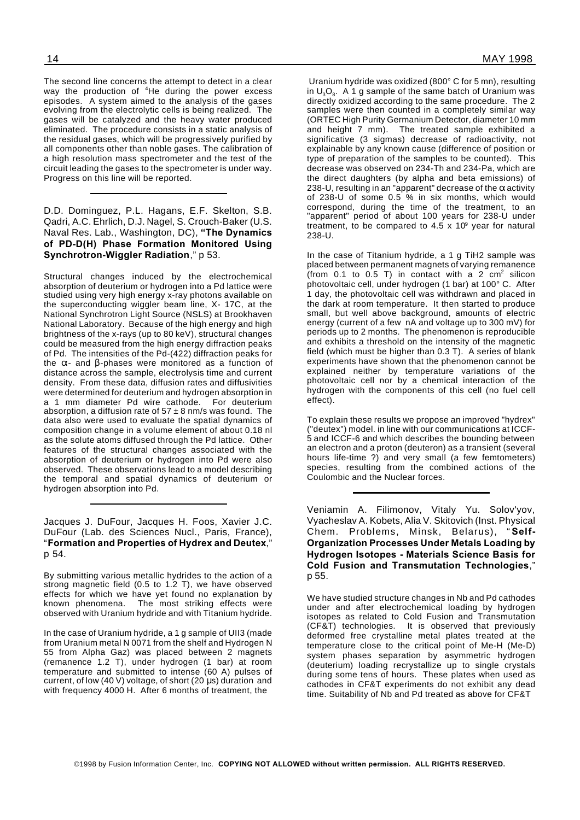The second line concerns the attempt to detect in a clear way the production of <sup>4</sup>He during the power excess episodes. A system aimed to the analysis of the gases evolving from the electrolytic cells is being realized. The gases will be catalyzed and the heavy water produced eliminated. The procedure consists in a static analysis of the residual gases, which will be progressively purified by all components other than noble gases. The calibration of a high resolution mass spectrometer and the test of the circuit leading the gases to the spectrometer is under way. Progress on this line will be reported.

D.D. Dominguez, P.L. Hagans, E.F. Skelton, S.B. Qadri, A.C. Ehrlich, D.J. Nagel, S. Crouch-Baker (U.S. Naval Res. Lab., Washington, DC), **"The Dynamics of PD-D(H) Phase Formation Monitored Using Synchrotron-Wiggler Radiation**," p 53.

Structural changes induced by the electrochemical absorption of deuterium or hydrogen into a Pd lattice were studied using very high energy x-ray photons available on the superconducting wiggler beam line, X- 17C, at the National Synchrotron Light Source (NSLS) at Brookhaven National Laboratory. Because of the high energy and high brightness of the x-rays (up to 80 keV), structural changes could be measured from the high energy diffraction peaks of Pd. The intensities of the Pd-(422) diffraction peaks for the  $\alpha$ - and  $\beta$ -phases were monitored as a function of distance across the sample, electrolysis time and current density. From these data, diffusion rates and diffusivities were determined for deuterium and hydrogen absorption in a 1 mm diameter Pd wire cathode. For deuterium absorption, a diffusion rate of  $57 \pm 8$  nm/s was found. The data also were used to evaluate the spatial dynamics of composition change in a volume element of about 0.18 nl as the solute atoms diffused through the Pd lattice. Other features of the structural changes associated with the absorption of deuterium or hydrogen into Pd were also observed. These observations lead to a model describing the temporal and spatial dynamics of deuterium or hydrogen absorption into Pd.

Jacques J. DuFour, Jacques H. Foos, Xavier J.C. DuFour (Lab. des Sciences Nucl., Paris, France), "**Formation and Properties of Hydrex and Deutex**," p 54.

By submitting various metallic hydrides to the action of a strong magnetic field (0.5 to 1.2 T), we have observed effects for which we have yet found no explanation by known phenomena. The most striking effects were observed with Uranium hydride and with Titanium hydride.

In the case of Uranium hydride, a 1 g sample of UII3 (made from Uranium metal N 0071 from the shelf and Hydrogen N 55 from Alpha Gaz) was placed between 2 magnets (remanence 1.2 T), under hydrogen (1 bar) at room temperature and submitted to intense (60 A) pulses of current, of low (40 V) voltage, of short (20  $\mu$ s) duration and with frequency 4000 H. After 6 months of treatment, the

Uranium hydride was oxidized (800° C for 5 mn), resulting in  $\mathsf{U}_3\mathsf{O}_8$ . A 1 g sample of the same batch of Uranium was directly oxidized according to the same procedure. The 2 samples were then counted in a completely similar way (ORTEC High Purity Germanium Detector, diameter 10 mm and height 7 mm). The treated sample exhibited a significative (3 sigmas) decrease of radioactivity, not explainable by any known cause (difference of position or type of preparation of the samples to be counted). This decrease was observed on 234-Th and 234-Pa, which are the direct daughters (by alpha and beta emissions) of 238-U, resulting in an "apparent" decrease of the  $\alpha$  activity of 238-U of some 0.5 % in six months, which would correspond, during the time of the treatment, to an "apparent" period of about 100 years for 238-U under treatment, to be compared to  $4.5 \times 10^9$  year for natural 238-U.

In the case of Titanium hydride, a 1 g TiH2 sample was placed between permanent magnets of varying remanence (from 0.1 to 0.5 T) in contact with a  $2 \text{ cm}^2$  silicon photovoltaic cell, under hydrogen (1 bar) at 100° C. After 1 day, the photovoltaic cell was withdrawn and placed in the dark at room temperature. It then started to produce small, but well above background, amounts of electric energy (current of a few nA and voltage up to 300 mV) for periods up to 2 months. The phenomenon is reproducible and exhibits a threshold on the intensity of the magnetic field (which must be higher than 0.3 T). A series of blank experiments have shown that the phenomenon cannot be explained neither by temperature variations of the photovoltaic cell nor by a chemical interaction of the hydrogen with the components of this cell (no fuel cell effect).

To explain these results we propose an improved "hydrex" ("deutex") model. in line with our communications at ICCF-5 and ICCF-6 and which describes the bounding between an electron and a proton (deuteron) as a transient (several hours life-time ?) and very small (a few femtometers) species, resulting from the combined actions of the Coulombic and the Nuclear forces.

Veniamin A. Filimonov, Vitaly Yu. Solov'yov, Vyacheslav A. Kobets, Alia V. Skitovich (Inst. Physical Chem. Problems, Minsk, Belarus), " **Self-Organization Processes Under Metals Loading by Hydrogen Isotopes - Materials Science Basis for Cold Fusion and Transmutation Technologies**," p 55.

We have studied structure changes in Nb and Pd cathodes under and after electrochemical loading by hydrogen isotopes as related to Cold Fusion and Transmutation (CF&T) technologies. It is observed that previously deformed free crystalline metal plates treated at the temperature close to the critical point of Me-H (Me-D) system phases separation by asymmetric hydrogen (deuterium) loading recrystallize up to single crystals during some tens of hours. These plates when used as cathodes in CF&T experiments do not exhibit any dead time. Suitability of Nb and Pd treated as above for CF&T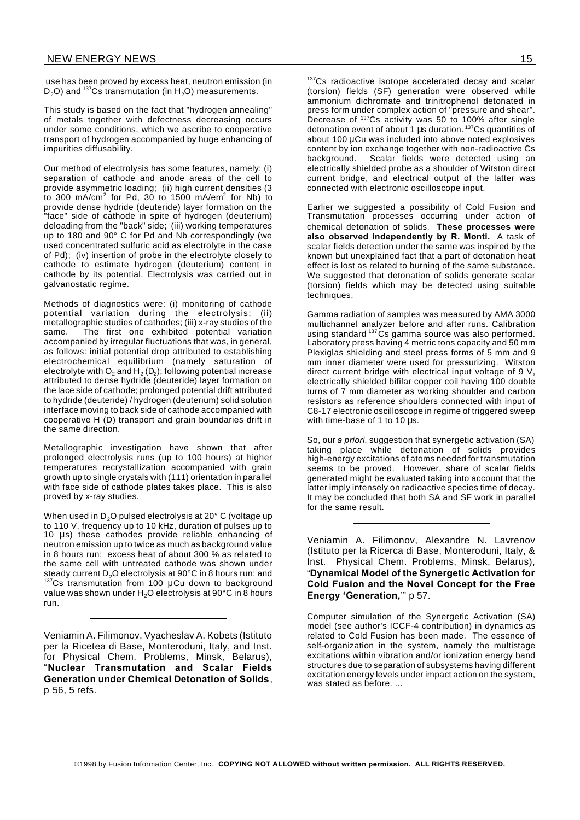use has been proved by excess heat, neutron emission (in D<sub>2</sub>O) and <sup>137</sup>Cs transmutation (in  $H_2O$ ) measurements.

This study is based on the fact that "hydrogen annealing" of metals together with defectness decreasing occurs under some conditions, which we ascribe to cooperative transport of hydrogen accompanied by huge enhancing of impurities diffusability.

Our method of electrolysis has some features, namely: (i) separation of cathode and anode areas of the cell to provide asymmetric loading; (ii) high current densities (3 to 300 mA/cm $^2$  for Pd, 30 to 1500 mA/em $^2$  for Nb) to provide dense hydride (deuteride) layer formation on the "face" side of cathode in spite of hydrogen (deuterium) deloading from the "back" side; (iii) working temperatures up to 180 and 90° C for Pd and Nb correspondingly (we used concentrated sulfuric acid as electrolyte in the case of Pd); (iv) insertion of probe in the electrolyte closely to cathode to estimate hydrogen (deuterium) content in cathode by its potential. Electrolysis was carried out in galvanostatic regime.

Methods of diagnostics were: (i) monitoring of cathode potential variation during the electrolysis; (ii) metallographic studies of cathodes; (iii) x-ray studies of the same. The first one exhibited potential variation accompanied by irregular fluctuations that was, in general, as follows: initial potential drop attributed to establishing electrochemical equilibrium (namely saturation of electrolyte with  $\mathsf{O}_2$  and  $\mathsf{H}_2\left(\mathsf{D}_2\right)$ ; following potential increase attributed to dense hydride (deuteride) layer formation on the lace side of cathode; prolonged potential drift attributed to hydride (deuteride) / hydrogen (deuterium) solid solution interface moving to back side of cathode accompanied with cooperative H (D) transport and grain boundaries drift in the same direction.

Metallographic investigation have shown that after prolonged electrolysis runs (up to 100 hours) at higher temperatures recrystallization accompanied with grain growth up to single crystals with (111) orientation in parallel with face side of cathode plates takes place. This is also proved by x-ray studies.

When used in  $D_2O$  pulsed electrolysis at 20 $^{\circ}$  C (voltage up to 110 V, frequency up to 10 kHz, duration of pulses up to 10  $\mu$ s) these cathodes provide reliable enhancing of neutron emission up to twice as much as background value in 8 hours run; excess heat of about 300 % as related to the same cell with untreated cathode was shown under steady current D<sub>2</sub>O electrolysis at 90°C in 8 hours run; and  $137$ Cs transmutation from 100 µCu down to background value was shown under H<sub>2</sub>O electrolysis at 90°C in 8 hours run.

Veniamin A. Filimonov, Vyacheslav A. Kobets (Istituto per la Ricetea di Base, Monteroduni, Italy, and Inst. for Physical Chem. Problems, Minsk, Belarus), "**Nuclear Transmutation and Scalar Fields Generation under Chemical Detonation of Solids**, p 56, 5 refs.

<sup>137</sup>Cs radioactive isotope accelerated decay and scalar (torsion) fields (SF) generation were observed while ammonium dichromate and trinitrophenol detonated in press form under complex action of "pressure and shear". Decrease of <sup>137</sup>Cs activity was 50 to 100% after single detonation event of about 1  $\mu$ s duration. <sup>137</sup>Cs quantities of about 100 µCu was included into above noted explosives content by ion exchange together with non-radioactive Cs background. Scalar fields were detected using an electrically shielded probe as a shoulder of Witston direct current bridge, and electrical output of the latter was connected with electronic oscilloscope input.

Earlier we suggested a possibility of Cold Fusion and Transmutation processes occurring under action of chemical detonation of solids. **These processes were also observed independently by R. Monti.** A task of scalar fields detection under the same was inspired by the known but unexplained fact that a part of detonation heat effect is lost as related to burning of the same substance. We suggested that detonation of solids generate scalar (torsion) fields which may be detected using suitable techniques.

Gamma radiation of samples was measured by AMA 3000 multichannel analyzer before and after runs. Calibration using standard <sup>137</sup>Cs gamma source was also performed. Laboratory press having 4 metric tons capacity and 50 mm Plexiglas shielding and steel press forms of 5 mm and 9 mm inner diameter were used for pressurizing. Witston direct current bridge with electrical input voltage of 9 V, electrically shielded bifilar copper coil having 100 double turns of 7 mm diameter as working shoulder and carbon resistors as reference shoulders connected with input of C8-17 electronic oscilloscope in regime of triggered sweep with time-base of 1 to 10  $\mu$ s.

So, our *a priori*. suggestion that synergetic activation (SA) taking place while detonation of solids provides high-energy excitations of atoms needed for transmutation seems to be proved. However, share of scalar fields generated might be evaluated taking into account that the latter imply intensely on radioactive species time of decay. It may be concluded that both SA and SF work in parallel for the same result.

Veniamin A. Filimonov, Alexandre N. Lavrenov (Istituto per la Ricerca di Base, Monteroduni, Italy, & Inst. Physical Chem. Problems, Minsk, Belarus), "**Dynamical Model of the Synergetic Activation for Cold Fusion and the Novel Concept for the Free Energy 'Generation,**'" p 57.

Computer simulation of the Synergetic Activation (SA) model (see author's ICCF-4 contribution) in dynamics as related to Cold Fusion has been made. The essence of self-organization in the system, namely the multistage excitations within vibration and/or ionization energy band structures due to separation of subsystems having different excitation energy levels under impact action on the system, was stated as before. ...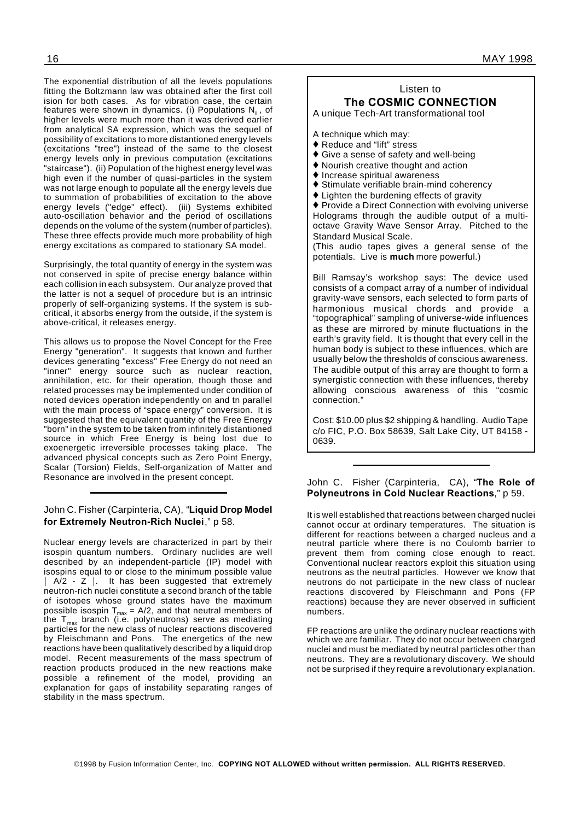The exponential distribution of all the levels populations fitting the Boltzmann law was obtained after the first coll ision for both cases. As for vibration case, the certain features were shown in dynamics. (i) Populations N**<sup>i</sup>** , of higher levels were much more than it was derived earlier from analytical SA expression, which was the sequel of possibility of excitations to more distantioned energy levels (excitations "tree") instead of the same to the closest energy levels only in previous computation (excitations "staircase"). (ii) Population of the highest energy level was high even if the number of quasi-particles in the system was not large enough to populate all the energy levels due to summation of probabilities of excitation to the above energy levels ("edge" effect). (iii) Systems exhibited auto-oscillation behavior and the period of oscillations depends on the volume of the system (number of particles). These three effects provide much more probability of high energy excitations as compared to stationary SA model.

Surprisingly, the total quantity of energy in the system was not conserved in spite of precise energy balance within each collision in each subsystem. Our analyze proved that the latter is not a sequel of procedure but is an intrinsic properly of self-organizing systems. If the system is subcritical, it absorbs energy from the outside, if the system is above-critical, it releases energy.

This allows us to propose the Novel Concept for the Free Energy "generation". It suggests that known and further devices generating "excess" Free Energy do not need an "inner" energy source such as nuclear reaction, annihilation, etc. for their operation, though those and related processes may be implemented under condition of noted devices operation independently on and tn parallel with the main process of "space energy" conversion. It is suggested that the equivalent quantity of the Free Energy "born" in the system to be taken from infinitely distantioned source in which Free Energy is being lost due to exoenergetic irreversible processes taking place. The advanced physical concepts such as Zero Point Energy, Scalar (Torsion) Fields, Self-organization of Matter and Resonance are involved in the present concept.

#### John C. Fisher (Carpinteria, CA), "**Liquid Drop Model for Extremely Neutron-Rich Nuclei**," p 58.

Nuclear energy levels are characterized in part by their isospin quantum numbers. Ordinary nuclides are well described by an independent-particle (IP) model with isospins equal to or close to the minimum possible value  $A/2 - Z$  . It has been suggested that extremely neutron-rich nuclei constitute a second branch of the table of isotopes whose ground states have the maximum possible isospin T $_{\sf max}$  = A/2, and that neutral members of the  ${\sf T}_{\sf max}$  branch (i.e. polyneutrons) serve as mediating particles for the new class of nuclear reactions discovered by Fleischmann and Pons. The energetics of the new reactions have been qualitatively described by a liquid drop model. Recent measurements of the mass spectrum of reaction products produced in the new reactions make possible a refinement of the model, providing an explanation for gaps of instability separating ranges of stability in the mass spectrum.

# Listen to **The COSMIC CONNECTION**

A unique Tech-Art transformational tool

A technique which may:

- ◆ Reduce and "lift" stress
- ◆ Give a sense of safety and well-being
- Nourish creative thought and action
- $\blacklozenge$  Increase spiritual awareness
- Stimulate verifiable brain-mind coherency
- Lighten the burdening effects of gravity

♦ Provide a Direct Connection with evolving universe Holograms through the audible output of a multioctave Gravity Wave Sensor Array. Pitched to the Standard Musical Scale.

(This audio tapes gives a general sense of the potentials. Live is **much** more powerful.)

Bill Ramsay's workshop says: The device used consists of a compact array of a number of individual gravity-wave sensors, each selected to form parts of harmonious musical chords and provide a "topographical" sampling of universe-wide influences as these are mirrored by minute fluctuations in the earth's gravity field. It is thought that every cell in the human body is subject to these influences, which are usually below the thresholds of conscious awareness. The audible output of this array are thought to form a synergistic connection with these influences, thereby allowing conscious awareness of this "cosmic connection."

Cost: \$10.00 plus \$2 shipping & handling. Audio Tape c/o FIC, P.O. Box 58639, Salt Lake City, UT 84158 - 0639.

#### John C. Fisher (Carpinteria, CA), "**The Role of Polyneutrons in Cold Nuclear Reactions**," p 59.

It is well established that reactions between charged nuclei cannot occur at ordinary temperatures. The situation is different for reactions between a charged nucleus and a neutral particle where there is no Coulomb barrier to prevent them from coming close enough to react. Conventional nuclear reactors exploit this situation using neutrons as the neutral particles. However we know that neutrons do not participate in the new class of nuclear reactions discovered by Fleischmann and Pons (FP reactions) because they are never observed in sufficient numbers.

FP reactions are unlike the ordinary nuclear reactions with which we are familiar. They do not occur between charged nuclei and must be mediated by neutral particles other than neutrons. They are a revolutionary discovery. We should not be surprised if they require a revolutionary explanation.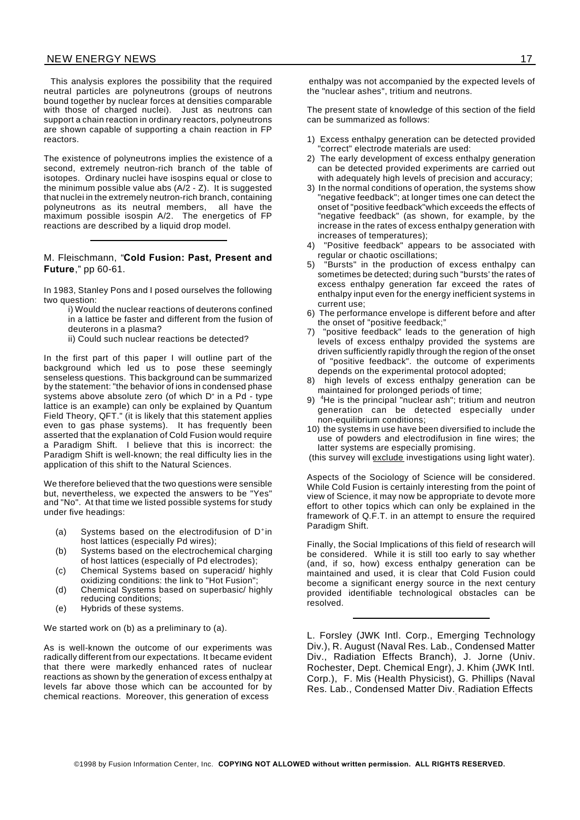This analysis explores the possibility that the required neutral particles are polyneutrons (groups of neutrons bound together by nuclear forces at densities comparable with those of charged nuclei). Just as neutrons can support a chain reaction in ordinary reactors, polyneutrons are shown capable of supporting a chain reaction in FP reactors.

The existence of polyneutrons implies the existence of a second, extremely neutron-rich branch of the table of isotopes. Ordinary nuclei have isospins equal or close to the minimum possible value abs (A/2 - Z). It is suggested that nuclei in the extremely neutron-rich branch, containing polyneutrons as its neutral members, all have the maximum possible isospin A/2. The energetics of FP reactions are described by a liquid drop model.

M. Fleischmann, "**Cold Fusion: Past, Present and Future**," pp 60-61.

In 1983, Stanley Pons and I posed ourselves the following two question:

- i) Would the nuclear reactions of deuterons confined in a lattice be faster and different from the fusion of deuterons in a plasma?
- ii) Could such nuclear reactions be detected?

In the first part of this paper I will outline part of the background which led us to pose these seemingly senseless questions. This background can be summarized by the statement: "the behavior of ions in condensed phase systems above absolute zero (of which D<sup>+</sup> in a Pd - type lattice is an example) can only be explained by Quantum Field Theory, QFT." (it is likely that this statement applies even to gas phase systems). It has frequently been asserted that the explanation of Cold Fusion would require a Paradigm Shift. I believe that this is incorrect: the Paradigm Shift is well-known; the real difficulty lies in the application of this shift to the Natural Sciences.

We therefore believed that the two questions were sensible but, nevertheless, we expected the answers to be "Yes" and "No". At that time we listed possible systems for study under five headings:

- (a) Systems based on the electrodifusion of D<sup>+</sup> in host lattices (especially Pd wires);
- (b) Systems based on the electrochemical charging of host lattices (especially of Pd electrodes);
- (c) Chemical Systems based on superacid/ highly oxidizing conditions: the link to "Hot Fusion";
- (d) Chemical Systems based on superbasic/ highly reducing conditions;
- (e) Hybrids of these systems.

We started work on (b) as a preliminary to (a).

As is well-known the outcome of our experiments was radically different from our expectations. It became evident that there were markedly enhanced rates of nuclear reactions as shown by the generation of excess enthalpy at levels far above those which can be accounted for by chemical reactions. Moreover, this generation of excess

enthalpy was not accompanied by the expected levels of the "nuclear ashes", tritium and neutrons.

The present state of knowledge of this section of the field can be summarized as follows:

- 1) Excess enthalpy generation can be detected provided "correct" electrode materials are used:
- 2) The early development of excess enthalpy generation can be detected provided experiments are carried out with adequately high levels of precision and accuracy;
- 3) In the normal conditions of operation, the systems show "negative feedback"; at longer times one can detect the onset of "positive feedback"which exceeds the effects of "negative feedback" (as shown, for example, by the increase in the rates of excess enthaIpy generation with increases of temperatures);
- 4) "Positive feedback" appears to be associated with regular or chaotic oscillations;
- "Bursts" in the production of excess enthalpy can sometimes be detected; during such "bursts' the rates of excess enthalpy generation far exceed the rates of enthalpy input even for the energy inefficient systems in current use;
- 6) The performance envelope is different before and after the onset of "positive feedback;"
- "positive feedback" leads to the generation of high levels of excess enthalpy provided the systems are driven sufficiently rapidly through the region of the onset of "positive feedback". the outcome of experiments depends on the experimental protocol adopted;
- 8) high levels of excess enthalpy generation can be maintained for prolonged periods of time;
- 9) <sup>4</sup>He is the principal "nuclear ash"; tritium and neutron generation can be detected especially under non-equilibrium conditions;
- 10) the systems in use have been diversified to include the use of powders and electrodifusion in fine wires; the latter systems are especially promising.

(this survey will exclude investigations using light water).

Aspects of the Sociology of Science will be considered. While Cold Fusion is certainly interesting from the point of view of Science, it may now be appropriate to devote more effort to other topics which can only be explained in the framework of Q.F.T. in an attempt to ensure the required Paradigm Shift.

Finally, the Social Implications of this field of research will be considered. While it is still too early to say whether (and, if so, how) excess enthalpy generation can be maintained and used, it is clear that Cold Fusion could become a significant energy source in the next century provided identifiable technological obstacles can be resolved.

L. Forsley (JWK Intl. Corp., Emerging Technology Div.), R. August (Naval Res. Lab., Condensed Matter Div., Radiation Effects Branch), J. Jorne (Univ. Rochester, Dept. Chemical Engr), J. Khim (JWK Intl. Corp.), F. Mis (Health Physicist), G. Phillips (Naval Res. Lab., Condensed Matter Div. Radiation Effects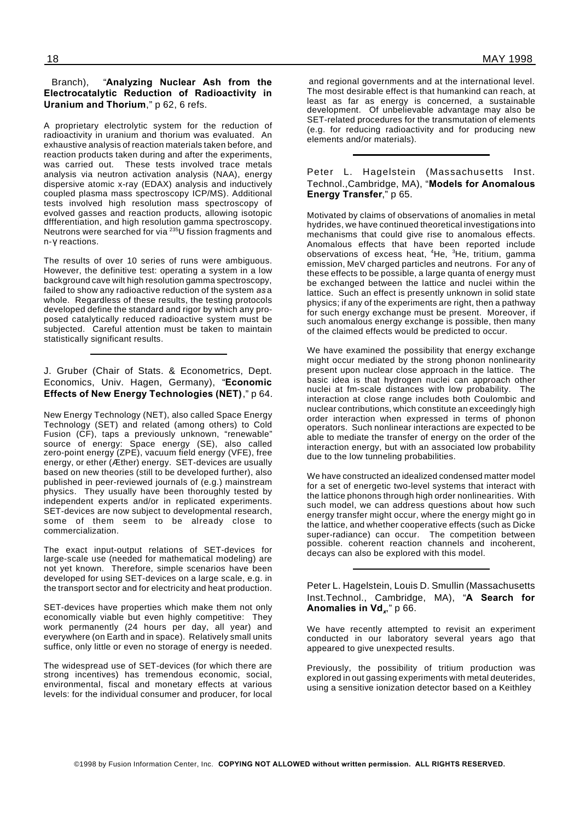# Branch), "**Analyzing Nuclear Ash from the Electrocatalytic Reduction of Radioactivity in Uranium and Thorium**," p 62, 6 refs.

A proprietary electrolytic system for the reduction of radioactivity in uranium and thorium was evaluated. An exhaustive analysis of reaction materials taken before, and reaction products taken during and after the experiments, was carried out. These tests involved trace metals analysis via neutron activation analysis (NAA), energy dispersive atomic x-ray (EDAX) analysis and inductively coupled plasma mass spectroscopy ICP/MS). Additional tests involved high resolution mass spectroscopy of evolved gasses and reaction products, allowing isotopic dffferentiation, and high resolution gamma spectroscopy. Neutrons were searched for via <sup>235</sup>U fission fragments and n-y reactions.

The results of over 10 series of runs were ambiguous. However, the definitive test: operating a system in a low background cave wilt high resolution gamma spectroscopy, failed to show any radioactive reduction of the system *as* a whole. Regardless of these results, the testing protocols developed define the standard and rigor by which any proposed catalytically reduced radioactive system must be subjected. Careful attention must be taken to maintain statistically significant results.

# J. Gruber (Chair of Stats. & Econometrics, Dept. Economics, Univ. Hagen, Germany), "**Economic Effects of New Energy Technologies (NET)**," p 64.

New Energy Technology (NET), also called Space Energy Technology (SET) and related (among others) to Cold Fusion (CF), taps a previously unknown, "renewable" source of energy: Space energy (SE), also called zero-point energy (ZPE), vacuum field energy (VFE), free energy, or ether (Æther) energy. SET-devices are usually based on new theories (still to be developed further), also published in peer-reviewed journals of (e.g.) mainstream physics. They usually have been thoroughly tested by independent experts and/or in replicated experiments. SET-devices are now subject to developmental research, some of them seem to be already close to commercialization.

The exact input-output relations of SET-devices for large-scale use (needed for mathematical modeling) are not yet known. Therefore, simple scenarios have been developed for using SET-devices on a large scale, e.g. in the transport sector and for electricity and heat production.

SET-devices have properties which make them not only economically viable but even highly competitive: They work permanently (24 hours per day, all year) and everywhere (on Earth and in space). Relatively small units suffice, only little or even no storage of energy is needed.

The widespread use of SET-devices (for which there are strong incentives) has tremendous economic, social, environmental, fiscal and monetary effects at various levels: for the individual consumer and producer, for local

and regional governments and at the international level. The most desirable effect is that humankind can reach, at least as far as energy is concerned, a sustainable development. Of unbelievable advantage may also be SET-related procedures for the transmutation of elements (e.g. for reducing radioactivity and for producing new elements and/or materials).

# Peter L. Hagelstein (Massachusetts Inst. Technol.,Cambridge, MA), "**Models for Anomalous Energy Transfer**," p 65.

Motivated by claims of observations of anomalies in metal hydrides, we have continued theoretical investigations into mechanisms that could give rise to anomalous effects. Anomalous effects that have been reported include observations of excess heat, <sup>4</sup>He, <sup>3</sup>He, tritium, gamma emission, MeV charged particles and neutrons. For any of these effects to be possible, a large quanta of energy must be exchanged between the lattice and nuclei within the lattice. Such an effect is presently unknown in solid state physics; if any of the experiments are right, then a pathway for such energy exchange must be present. Moreover, if such anomalous energy exchange is possible, then many of the claimed effects would be predicted to occur.

We have examined the possibility that energy exchange might occur mediated by the strong phonon nonlinearity present upon nuclear close approach in the lattice. The basic idea is that hydrogen nuclei can approach other nuclei at fm-scale distances with low probability. The interaction at close range includes both Coulombic and nuclear contributions, which constitute an exceedingly high order interaction when expressed in terms of phonon operators. Such nonlinear interactions are expected to be able to mediate the transfer of energy on the order of the interaction energy, but with an associated low probability due to the low tunneling probabilities.

We have constructed an idealized condensed matter model for a set of energetic two-level systems that interact with the lattice phonons through high order nonlinearities. With such model, we can address questions about how such energy transfer might occur, where the energy might go in the lattice, and whether cooperative effects (such as Dicke super-radiance) can occur. The competition between possible. coherent reaction channels and incoherent, decays can also be explored with this model.

Peter L. Hagelstein, Louis D. Smullin (Massachusetts Inst.Technol., Cambridge, MA), "**A Search for Anomalies in Vd***<sup>x</sup>* ," p 66.

We have recently attempted to revisit an experiment conducted in our laboratory several years ago that appeared to give unexpected results.

Previously, the possibility of tritium production was explored in out gassing experiments with metal deuterides, using a sensitive ionization detector based on a Keithley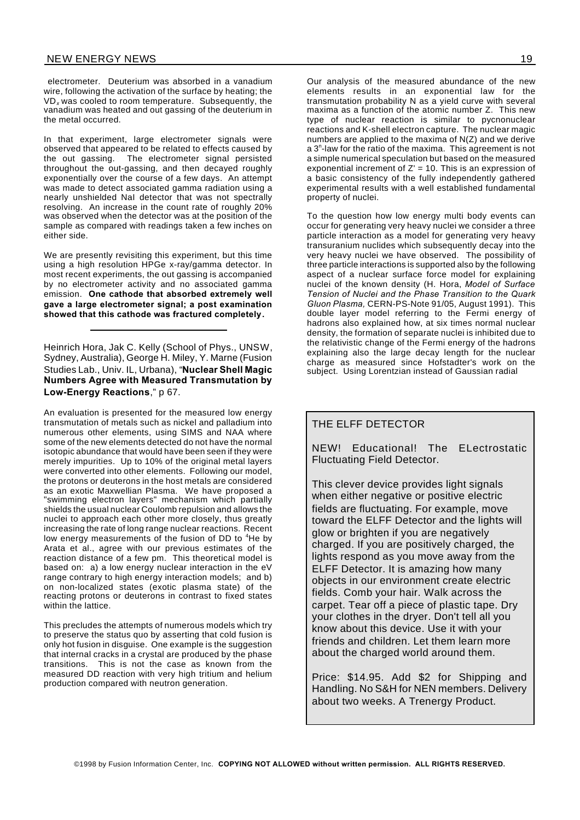electrometer. Deuterium was absorbed in a vanadium wire, following the activation of the surface by heating; the VD*<sup>x</sup>* was cooled to room temperature. Subsequently, the vanadium was heated and out gassing of the deuterium in the metal occurred.

In that experiment, large electrometer signals were observed that appeared to be related to effects caused by the out gassing. The electrometer signal persisted throughout the out-gassing, and then decayed roughly exponentially over the course of a few days. An attempt was made to detect associated gamma radiation using a nearly unshielded NaI detector that was not spectrally resolving. An increase in the count rate of roughly 20% was observed when the detector was at the position of the sample as compared with readings taken a few inches on either side.

We are presently revisiting this experiment, but this time using a high resolution HPGe x-ray/gamma detector. In most recent experiments, the out gassing is accompanied by no electrometer activity and no associated gamma emission. **One cathode that absorbed extremely well gave a large electrometer signal; a post examination showed that this cathode was fractured completely.**

Heinrich Hora, Jak C. Kelly (School of Phys., UNSW, Sydney, Australia), George H. Miley, Y. Marne (Fusion Studies Lab., Univ. IL, Urbana), "**Nuclear Shell Magic Numbers Agree with Measured Transmutation by Low-Energy Reactions**," p 67.

An evaluation is presented for the measured low energy transmutation of metals such as nickel and palladium into numerous other elements, using SIMS and NAA where some of the new elements detected do not have the normal isotopic abundance that would have been seen if they were merely impurities. Up to 10% of the original metal layers were converted into other elements. Following our model, the protons or deuterons in the host metals are considered as an exotic Maxwellian Plasma. We have proposed a "swimming electron layers" mechanism which partially shields the usual nuclear Coulomb repulsion and allows the nuclei to approach each other more closely, thus greatly increasing the rate of long range nuclear reactions. Recent low energy measurements of the fusion of DD to <sup>4</sup>He by Arata et al., agree with our previous estimates of the reaction distance of a few pm. This theoretical model is based on: a) a low energy nuclear interaction in the eV range contrary to high energy interaction models; and b) on non-localized states (exotic plasma state) of the reacting protons or deuterons in contrast to fixed states within the lattice.

This precludes the attempts of numerous models which try to preserve the status quo by asserting that cold fusion is only hot fusion in disguise. One example is the suggestion that internal cracks in a crystal are produced by the phase transitions. This is not the case as known from the measured DD reaction with very high tritium and helium production compared with neutron generation.

Our analysis of the measured abundance of the new elements results in an exponential law for the transmutation probability N as a yield curve with several maxima as a function of the atomic number Z. This new type of nuclear reaction is similar to pycnonuclear reactions and K-shell electron capture. The nuclear magic numbers are applied to the maxima of N(Z) and we derive a 3<sup>n</sup>-law for the ratio of the maxima. This agreement is not a simple numerical speculation but based on the measured exponential increment of  $Z' = 10$ . This is an expression of a basic consistency of the fully independently gathered experimental results with a well established fundamental property of nuclei.

To the question how low energy multi body events can occur for generating very heavy nuclei we consider a three particle interaction as a model for generating very heavy transuranium nuclides which subsequently decay into the very heavy nuclei we have observed. The possibility of three particle interactions is supported also by the following aspect of a nuclear surface force model for explaining nuclei of the known density (H. Hora, *Model of Surface Tension of Nuclei and the Phase Transition to the Quark Gluon Plasma,* CERN-PS-Note 91/05, August 1991). This double layer model referring to the Fermi energy of hadrons also explained how, at six times normal nuclear density, the formation of separate nuclei is inhibited due to the relativistic change of the Fermi energy of the hadrons explaining also the large decay length for the nuclear charge as measured since Hofstadter's work on the subject. Using Lorentzian instead of Gaussian radial

# THE ELFF DETECTOR

NEW! Educational! The ELectrostatic Fluctuating Field Detector.

This clever device provides light signals when either negative or positive electric fields are fluctuating. For example, move toward the ELFF Detector and the lights will glow or brighten if you are negatively charged. If you are positively charged, the lights respond as you move away from the ELFF Detector. It is amazing how many objects in our environment create electric fields. Comb your hair. Walk across the carpet. Tear off a piece of plastic tape. Dry your clothes in the dryer. Don't tell all you know about this device. Use it with your friends and children. Let them learn more about the charged world around them.

Price: \$14.95. Add \$2 for Shipping and Handling. No S&H for NEN members. Delivery about two weeks. A Trenergy Product.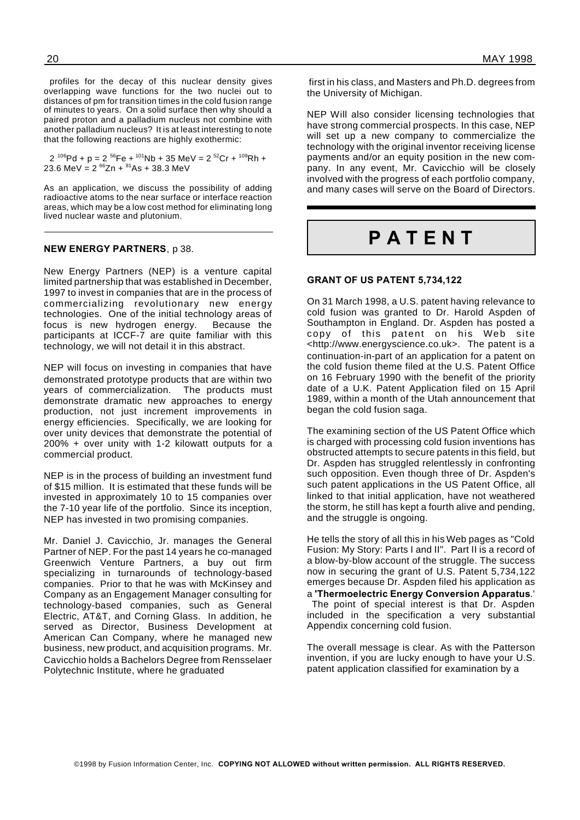profiles for the decay of this nuclear density gives overlapping wave functions for the two nuclei out to distances of pm for transition times in the cold fusion range of minutes to years. On a solid surface then why should a paired proton and a palladium nucleus not combine with another palladium nucleus? It is at least interesting to note that the following reactions are highly exothermic:

2 <sup>106</sup>Pd + p = 2 <sup>56</sup>Fe + <sup>101</sup>Nb + 35 MeV = 2 <sup>52</sup>Cr + <sup>109</sup>Rh + 23.6 MeV =  $2^{66}Zn + ^{81}As + 38.3$  MeV

As an application, we discuss the possibility of adding radioactive atoms to the near surface or interface reaction areas, which may be a low cost method for eliminating long lived nuclear waste and plutonium.

#### **NEW ENERGY PARTNERS**, p 38.

New Energy Partners (NEP) is a venture capital limited partnership that was established in December, 1997 to invest in companies that are in the process of commercializing revolutionary new energy technologies. One of the initial technology areas of focus is new hydrogen energy. Because the participants at ICCF-7 are quite familiar with this technology, we will not detail it in this abstract.

NEP will focus on investing in companies that have demonstrated prototype products that are within two years of commercialization. The products must demonstrate dramatic new approaches to energy production, not just increment improvements in energy efficiencies. Specifically, we are looking for over unity devices that demonstrate the potential of 200% + over unity with 1-2 kilowatt outputs for a commercial product.

NEP is in the process of building an investment fund of \$15 million. It is estimated that these funds will be invested in approximately 10 to 15 companies over the 7-10 year life of the portfolio. Since its inception, NEP has invested in two promising companies.

Mr. Daniel J. Cavicchio, Jr. manages the General Partner of NEP. For the past 14 years he co-managed Greenwich Venture Partners, a buy out firm specializing in turnarounds of technology-based companies. Prior to that he was with McKinsey and Company as an Engagement Manager consulting for technology-based companies, such as General Electric, AT&T, and Corning Glass. In addition, he served as Director, Business Development at American Can Company, where he managed new business, new product, and acquisition programs. Mr. Cavicchio holds a Bachelors Degree from Rensselaer Polytechnic Institute, where he graduated

first in his class, and Masters and Ph.D. degrees from the University of Michigan.

NEP Will also consider licensing technologies that have strong commercial prospects. In this case, NEP will set up a new company to commercialize the technology with the original inventor receiving license payments and/or an equity position in the new company. In any event, Mr. Cavicchio will be closely involved with the progress of each portfolio company, and many cases will serve on the Board of Directors.

# **P A T E N T**

#### **GRANT OF US PATENT 5,734,122**

On 31 March 1998, a U.S. patent having relevance to cold fusion was granted to Dr. Harold Aspden of Southampton in England. Dr. Aspden has posted a copy of this patent on his Web site <http://www.energyscience.co.uk>. The patent is a continuation-in-part of an application for a patent on the cold fusion theme filed at the U.S. Patent Office on 16 February 1990 with the benefit of the priority date of a U.K. Patent Application filed on 15 April 1989, within a month of the Utah announcement that began the cold fusion saga.

The examining section of the US Patent Office which is charged with processing cold fusion inventions has obstructed attempts to secure patents in this field, but Dr. Aspden has struggled relentlessly in confronting such opposition. Even though three of Dr. Aspden's such patent applications in the US Patent Office, all linked to that initial application, have not weathered the storm, he still has kept a fourth alive and pending, and the struggle is ongoing.

He tells the story of all this in his Web pages as "Cold Fusion: My Story: Parts I and II". Part II is a record of a blow-by-blow account of the struggle. The success now in securing the grant of U.S. Patent 5,734,122 emerges because Dr. Aspden filed his application as a **'Thermoelectric Energy Conversion Apparatus**.' The point of special interest is that Dr. Aspden

included in the specification a very substantial Appendix concerning cold fusion.

The overall message is clear. As with the Patterson invention, if you are lucky enough to have your U.S. patent application classified for examination by a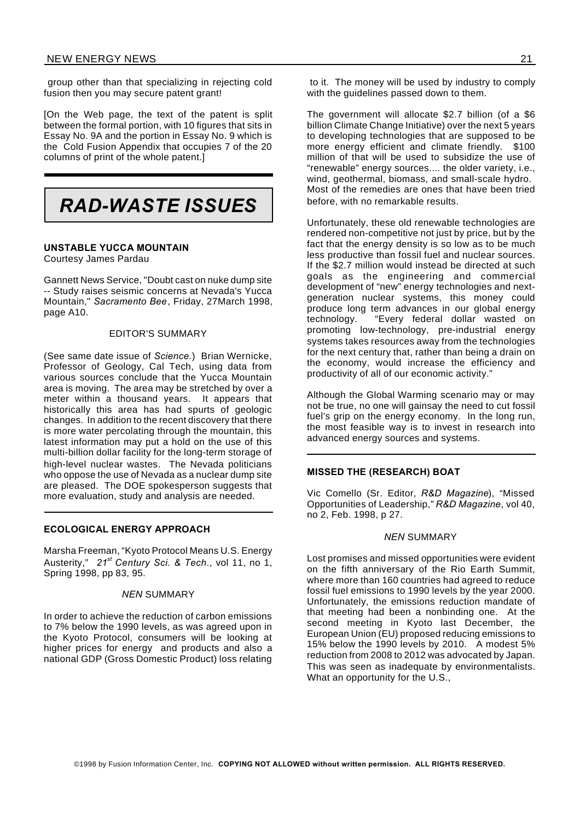group other than that specializing in rejecting cold fusion then you may secure patent grant!

[On the Web page, the text of the patent is split between the formal portion, with 10 figures that sits in Essay No. 9A and the portion in Essay No. 9 which is the Cold Fusion Appendix that occupies 7 of the 20 columns of print of the whole patent.]



## **UNSTABLE YUCCA MOUNTAIN**

Courtesy James Pardau

Gannett News Service, "Doubt cast on nuke dump site -- Study raises seismic concerns at Nevada's Yucca Mountain," *Sacramento Bee*, Friday, 27March 1998, page A10.

#### EDITOR'S SUMMARY

(See same date issue of *Science.*) Brian Wernicke, Professor of Geology, Cal Tech, using data from various sources conclude that the Yucca Mountain area is moving. The area may be stretched by over a meter within a thousand years. It appears that historically this area has had spurts of geologic changes. In addition to the recent discovery that there is more water percolating through the mountain, this latest information may put a hold on the use of this multi-billion dollar facility for the long-term storage of high-level nuclear wastes. The Nevada politicians who oppose the use of Nevada as a nuclear dump site are pleased. The DOE spokesperson suggests that more evaluation, study and analysis are needed.

# **ECOLOGICAL ENERGY APPROACH**

Marsha Freeman, "Kyoto Protocol Means U.S. Energy Austerity," *21st Century Sci. & Tech*., vol 11, no 1, Spring 1998, pp 83, 95.

#### *NEN* SUMMARY

In order to achieve the reduction of carbon emissions to 7% below the 1990 levels, as was agreed upon in the Kyoto Protocol, consumers will be looking at higher prices for energy and products and also a national GDP (Gross Domestic Product) loss relating

to it. The money will be used by industry to comply with the quidelines passed down to them.

The government will allocate \$2.7 billion (of a \$6 billion Climate Change Initiative) over the next 5 years to developing technologies that are supposed to be more energy efficient and climate friendly. \$100 million of that will be used to subsidize the use of "renewable" energy sources.... the older variety, i.e., wind, geothermal, biomass, and small-scale hydro. Most of the remedies are ones that have been tried before, with no remarkable results.

Unfortunately, these old renewable technologies are rendered non-competitive not just by price, but by the fact that the energy density is so low as to be much less productive than fossil fuel and nuclear sources. If the \$2.7 million would instead be directed at such goals as the engineering and commercial development of "new" energy technologies and nextgeneration nuclear systems, this money could produce long term advances in our global energy technology. "Every federal dollar wasted on promoting low-technology, pre-industrial energy systems takes resources away from the technologies for the next century that, rather than being a drain on the economy, would increase the efficiency and productivity of all of our economic activity."

Although the Global Warming scenario may or may not be true, no one will gainsay the need to cut fossil fuel's grip on the energy economy. In the long run, the most feasible way is to invest in research into advanced energy sources and systems.

#### **MISSED THE (RESEARCH) BOAT**

Vic Comello (Sr. Editor, *R&D Magazine*), "Missed Opportunities of Leadership," *R&D Magazine*, vol 40, no 2, Feb. 1998, p 27.

#### *NEN* SUMMARY

Lost promises and missed opportunities were evident on the fifth anniversary of the Rio Earth Summit, where more than 160 countries had agreed to reduce fossil fuel emissions to 1990 levels by the year 2000. Unfortunately, the emissions reduction mandate of that meeting had been a nonbinding one. At the second meeting in Kyoto last December, the European Union (EU) proposed reducing emissions to 15% below the 1990 levels by 2010. A modest 5% reduction from 2008 to 2012 was advocated by Japan. This was seen as inadequate by environmentalists. What an opportunity for the U.S.,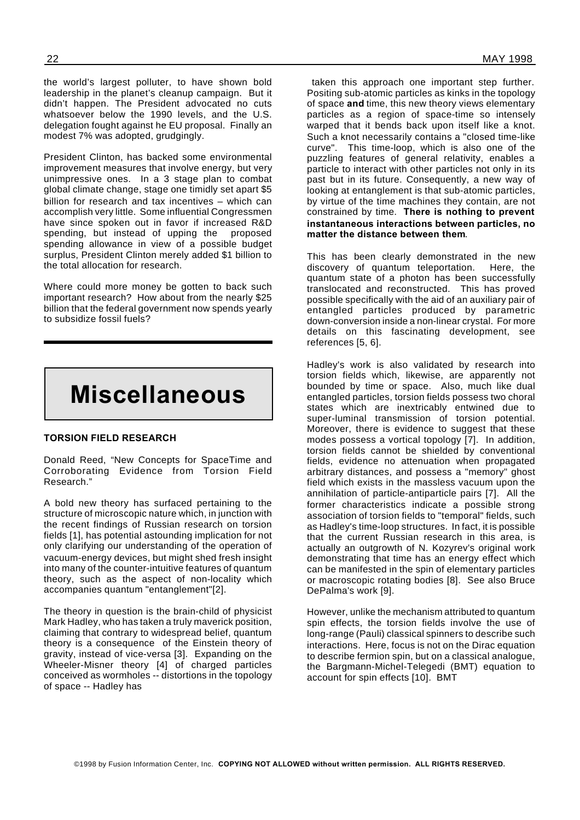the world's largest polluter, to have shown bold leadership in the planet's cleanup campaign. But it didn't happen. The President advocated no cuts whatsoever below the 1990 levels, and the U.S. delegation fought against he EU proposal. Finally an modest 7% was adopted, grudgingly.

President Clinton, has backed some environmental improvement measures that involve energy, but very unimpressive ones. In a 3 stage plan to combat global climate change, stage one timidly set apart \$5 billion for research and tax incentives – which can accomplish very little. Some influential Congressmen have since spoken out in favor if increased R&D spending, but instead of upping the proposed spending allowance in view of a possible budget surplus, President Clinton merely added \$1 billion to the total allocation for research.

Where could more money be gotten to back such important research? How about from the nearly \$25 billion that the federal government now spends yearly to subsidize fossil fuels?



## **TORSION FIELD RESEARCH**

Donald Reed, "New Concepts for SpaceTime and Corroborating Evidence from Torsion Field Research."

A bold new theory has surfaced pertaining to the structure of microscopic nature which, in junction with the recent findings of Russian research on torsion fields [1], has potential astounding implication for not only clarifying our understanding of the operation of vacuum-energy devices, but might shed fresh insight into many of the counter-intuitive features of quantum theory, such as the aspect of non-locality which accompanies quantum "entanglement"[2].

The theory in question is the brain-child of physicist Mark Hadley, who has taken a truly maverick position, claiming that contrary to widespread belief, quantum theory is a consequence of the Einstein theory of gravity, instead of vice-versa [3]. Expanding on the Wheeler-Misner theory [4] of charged particles conceived as wormholes -- distortions in the topology of space -- Hadley has

taken this approach one important step further. Positing sub-atomic particles as kinks in the topology of space **and** time, this new theory views elementary particles as a region of space-time so intensely warped that it bends back upon itself like a knot. Such a knot necessarily contains a "closed time-like curve". This time-loop, which is also one of the puzzling features of general relativity, enables a particle to interact with other particles not only in its past but in its future. Consequently, a new way of looking at entanglement is that sub-atomic particles, by virtue of the time machines they contain, are not constrained by time. **There is nothing to prevent instantaneous interactions between particles, no matter the distance between them**.

This has been clearly demonstrated in the new discovery of quantum teleportation. Here, the quantum state of a photon has been successfully translocated and reconstructed. This has proved possible specifically with the aid of an auxiliary pair of entangled particles produced by parametric down-conversion inside a non-linear crystal. For more details on this fascinating development, see references [5, 6].

Hadley's work is also validated by research into torsion fields which, likewise, are apparently not bounded by time or space. Also, much like dual entangled particles, torsion fields possess two choral states which are inextricably entwined due to super-luminal transmission of torsion potential. Moreover, there is evidence to suggest that these modes possess a vortical topology [7]. In addition, torsion fields cannot be shielded by conventional fields, evidence no attenuation when propagated arbitrary distances, and possess a "memory" ghost field which exists in the massless vacuum upon the annihilation of particle-antiparticle pairs [7]. All the former characteristics indicate a possible strong association of torsion fields to "temporal" fields, such as Hadley's time-loop structures. In fact, it is possible that the current Russian research in this area, is actually an outgrowth of N. Kozyrev's original work demonstrating that time has an energy effect which can be manifested in the spin of elementary particles or macroscopic rotating bodies [8]. See also Bruce DePalma's work [9].

However, unlike the mechanism attributed to quantum spin effects, the torsion fields involve the use of long-range (Pauli) classical spinners to describe such interactions. Here, focus is not on the Dirac equation to describe fermion spin, but on a classical analogue, the Bargmann-Michel-Telegedi (BMT) equation to account for spin effects [10]. BMT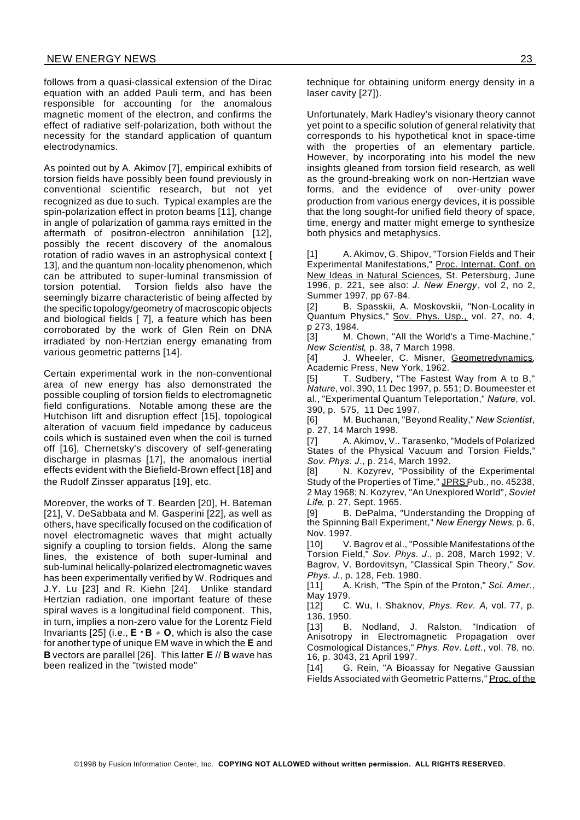follows from a quasi-classical extension of the Dirac equation with an added Pauli term, and has been responsible for accounting for the anomalous magnetic moment of the electron, and confirms the effect of radiative self-polarization, both without the necessity for the standard application of quantum electrodynamics.

As pointed out by A. Akimov [7], empirical exhibits of torsion fields have possibly been found previously in conventional scientific research, but not yet recognized as due to such. Typical examples are the spin-polarization effect in proton beams [11], change in angle of polarization of gamma rays emitted in the aftermath of positron-electron annihilation [12], possibly the recent discovery of the anomalous rotation of radio waves in an astrophysical context [ 13], and the quantum non-locality phenomenon, which can be attributed to super-luminal transmission of torsion potential. Torsion fields also have the seemingly bizarre characteristic of being affected by the specific topology/geometry of macroscopic objects and biological fields [ 7], a feature which has been corroborated by the work of Glen Rein on DNA irradiated by non-Hertzian energy emanating from various geometric patterns [14].

Certain experimental work in the non-conventional area of new energy has also demonstrated the possible coupling of torsion fields to electromagnetic field configurations. Notable among these are the Hutchison lift and disruption effect [15], topological alteration of vacuum field impedance by caduceus coils which is sustained even when the coil is turned off [16], Chernetsky's discovery of self-generating discharge in plasmas [17], the anomalous inertial effects evident with the Biefield-Brown effect [18] and the Rudolf Zinsser apparatus [19], etc.

Moreover, the works of T. Bearden [20], H. Bateman [21], V. DeSabbata and M. Gasperini [22], as well as others, have specifically focused on the codification of novel electromagnetic waves that might actually signify a coupling to torsion fields. Along the same lines, the existence of both super-luminal and sub-luminal helically-polarized electromagnetic waves has been experimentally verified by W. Rodriques and J.Y. Lu [23] and R. Kiehn [24]. Unlike standard Hertzian radiation, one important feature of these spiral waves is a longitudinal field component. This, in turn, implies a non-zero value for the Lorentz Field Invariants [25] (i.e.,  $E \cdot B \neq 0$ , which is also the case for another type of unique EM wave in which the **E** and **B** vectors are parallel [26]. This latter **E** // **B** wave has been realized in the "twisted mode"

Unfortunately, Mark Hadley's visionary theory cannot yet point to a specific solution of general relativity that corresponds to his hypothetical knot in space-time with the properties of an elementary particle. However, by incorporating into his model the new insights gleaned from torsion field research, as well as the ground-breaking work on non-Hertzian wave forms, and the evidence of over-unity power production from various energy devices, it is possible that the long sought-for unified field theory of space, time, energy and matter might emerge to synthesize both physics and metaphysics.

[1] A. Akimov, G. Shipov, "Torsion Fields and Their Experimental Manifestations," Proc. Internat. Conf. on New Ideas in Natural Sciences, St. Petersburg, June 1996, p. 221, see also: *J. New Energy*, vol 2, no 2, Summer 1997, pp 67-84.

[2] B. Spasskii, A. Moskovskii, "Non-Locality in Quantum Physics," Sov. Phys. Usp., vol. 27, no. 4,

p 273, 1984.<br>[3] M. M. Chown, "All the World's a Time-Machine." *New Scientist*, p. 38, 7 March 1998.

[4] J. Wheeler, C. Misner, Geometredynamics, Academic Press, New York, 1962.

[5] T. Sudbery, "The Fastest Way from A to B," *Nature*, vol. 390, 11 Dec 1997, p. 551; D. Boumeester et al., "Experimental Quantum Teleportation," *Nature*, vol. 390, p. 575, 11 Dec 1997.

[6] M. Buchanan, "Beyond Reality," *New Scientist*, p. 27, 14 March 1998.

[7] A. Akimov, V.. Tarasenko, "Models of Polarized States of the Physical Vacuum and Torsion Fields," *Sov. Phys. J*., p. 214, March 1992.

[8] N. Kozyrev, "Possibility of the Experimental Study of the Properties of Time," JPRS Pub., no. 45238, 2 May 1968; N. Kozyrev, "An Unexplored World", *Soviet Life*, p. 27, Sept. 1965.

B. DePalma, "Understanding the Dropping of the Spinning Ball Experiment," *New Energy News*, p. 6, Nov. 1997.

[10] V. Bagrov et al., "Possible Manifestations of the Torsion Field," *Sov. Phys. J*., p. 208, March 1992; V. Bagrov, V. Bordovitsyn, "Classical Spin Theory," *Sov. Phys. J*., p. 128, Feb. 1980.

[11] A. Krish, "The Spin of the Proton," *Sci. Amer.*, May 1979.

[12] C. Wu, I. Shaknov, *Phys. Rev. A*, vol. 77, p. 136, 1950.

[13] B. Nodland, J. Ralston, "Indication of Anisotropy in Electromagnetic Propagation over Cosmological Distances," *Phys. Rev. Lett.*, vol. 78, no. 16, p. 3043, 21 April 1997.

[14] G. Rein, "A Bioassay for Negative Gaussian Fields Associated with Geometric Patterns," Proc. of the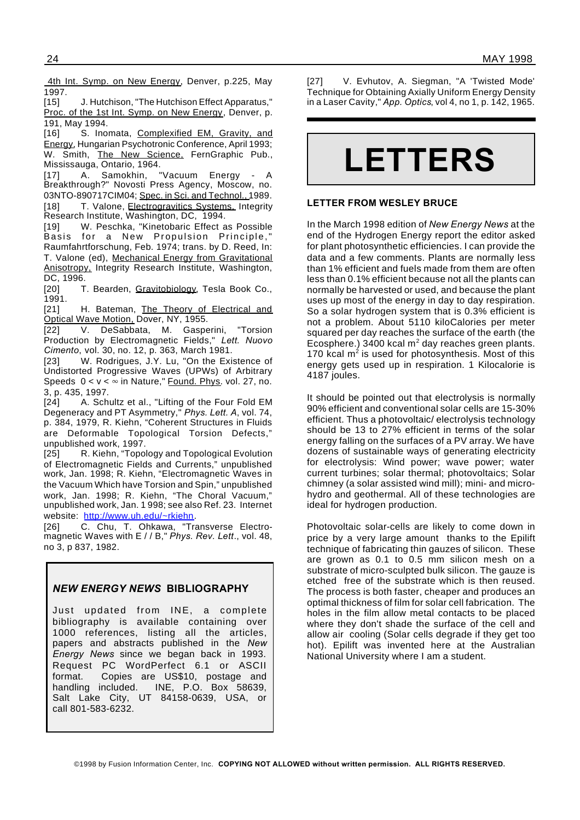4th Int. Symp. on New Energy, Denver, p.225, May 1997.<br>[15]

J. Hutchison, "The Hutchison Effect Apparatus," Proc. of the 1st Int. Symp. on New Energy, Denver, p. 191, May 1994.<br>[16] S. Inor

S. Inomata, Complexified EM, Gravity, and Energy, Hungarian Psychotronic Conference, April 1993; W. Smith, The New Science, FernGraphic Pub., Mississauga, Ontario, 1964.

[17] A. Samokhin, "Vacuum Energy - A Breakthrough?" Novosti Press Agency, Moscow, no. 03NTO-890717CIM04; Spec. in Sci. and Technol., 1989. [18] T. Valone, Electrogravitics Systems, Integrity Research Institute, Washington, DC, 1994.

[19] W. Peschka, "Kinetobaric Effect as Possible Basis for a New Propulsion Principle," Raumfahrtforschung, Feb. 1974; trans. by D. Reed, In: T. Valone (ed), Mechanical Energy from Gravitational Anisotropy, Integrity Research Institute, Washington, DC, 1996.

[20] T. Bearden, Gravitobiology, Tesla Book Co., 1991.

[21] H. Bateman, The Theory of Electrical and Optical Wave Motion, Dover, NY, 1955.

[22] V. DeSabbata, M. Gasperini, "Torsion Production by Electromagnetic Fields," *Lett. Nuovo Cimento*, vol. 30, no. 12, p. 363, March 1981.

[23] W. Rodrigues, J.Y. Lu, "On the Existence of Undistorted Progressive Waves (UPWs) of Arbitrary Speeds  $0 < v < \infty$  in Nature," Found. Phys. vol. 27, no. 3, p. 435, 1997.

[24] A. Schultz et al., "Lifting of the Four Fold EM Degeneracy and PT Asymmetry," *Phys. Lett. A*, vol. 74, p. 384, 1979, R. Kiehn, "Coherent Structures in Fluids are Deformable Topological Torsion Defects," unpublished work, 1997.

[25] R. Kiehn, "Topology and Topological Evolution of Electromagnetic Fields and Currents," unpublished work, Jan. 1998; R. Kiehn, "Electromagnetic Waves in the Vacuum Which have Torsion and Spin," unpublished work, Jan. 1998; R. Kiehn, "The Choral Vacuum," unpublished work, Jan. 1 998; see also Ref. 23. Internet website: http://www.uh.edu/~rkiehn.

[26] C. Chu, T. Ohkawa, "Transverse Electromagnetic Waves with E / / B," *Phys. Rev. Lett*., vol. 48, no 3, p 837, 1982.

# *NEW ENERGY NEWS* **BIBLIOGRAPHY**

Just updated from INE, a complete bibliography is available containing over 1000 references, listing all the articles, papers and abstracts published in the *New Energy News* since we began back in 1993. Request PC WordPerfect 6.1 or ASCII format. Copies are US\$10, postage and handling included. INE, P.O. Box 58639, Salt Lake City, UT 84158-0639, USA, or call 801-583-6232.

[27] V. Evhutov, A. Siegman, "A 'Twisted Mode' Technique for Obtaining Axially Uniform Energy Density in a Laser Cavity," *App. Optics*, vol 4, no 1, p. 142, 1965.



# **LETTER FROM WESLEY BRUCE**

In the March 1998 edition of *New Energy News* at the end of the Hydrogen Energy report the editor asked for plant photosynthetic efficiencies. I can provide the data and a few comments. Plants are normally less than 1% efficient and fuels made from them are often less than 0.1% efficient because not all the plants can normally be harvested or used, and because the plant uses up most of the energy in day to day respiration. So a solar hydrogen system that is 0.3% efficient is not a problem. About 5110 kiloCalories per meter squared per day reaches the surface of the earth (the Ecosphere.) 3400 kcal  $m^2$  day reaches green plants. 170 kcal  $m^2$  is used for photosynthesis. Most of this energy gets used up in respiration. 1 Kilocalorie is 4187 joules.

It should be pointed out that electrolysis is normally 90% efficient and conventional solar cells are 15-30% efficient. Thus a photovoltaic/ electrolysis technology should be 13 to 27% efficient in terms of the solar energy falling on the surfaces of a PV array. We have dozens of sustainable ways of generating electricity for electrolysis: Wind power; wave power; water current turbines; solar thermal; photovoltaics; Solar chimney (a solar assisted wind mill); mini- and microhydro and geothermal. All of these technologies are ideal for hydrogen production.

Photovoltaic solar-cells are likely to come down in price by a very large amount thanks to the Epilift technique of fabricating thin gauzes of silicon. These are grown as 0.1 to 0.5 mm silicon mesh on a substrate of micro-sculpted bulk silicon. The gauze is etched free of the substrate which is then reused. The process is both faster, cheaper and produces an optimal thickness of film for solar cell fabrication. The holes in the film allow metal contacts to be placed where they don't shade the surface of the cell and allow air cooling (Solar cells degrade if they get too hot). Epilift was invented here at the Australian National University where I am a student.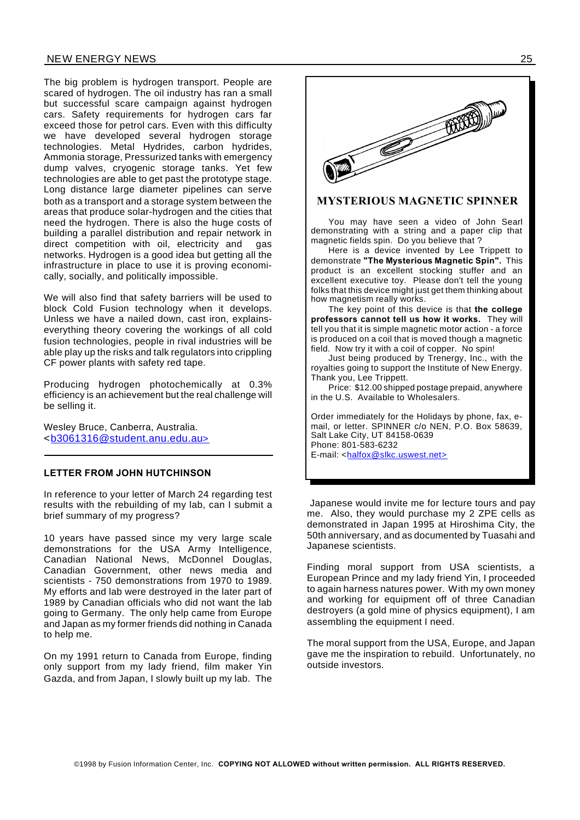# NEW ENERGY NEWS 25

The big problem is hydrogen transport. People are scared of hydrogen. The oil industry has ran a small but successful scare campaign against hydrogen cars. Safety requirements for hydrogen cars far exceed those for petrol cars. Even with this difficulty we have developed several hydrogen storage technologies. Metal Hydrides, carbon hydrides, Ammonia storage, Pressurized tanks with emergency dump valves, cryogenic storage tanks. Yet few technologies are able to get past the prototype stage. Long distance large diameter pipelines can serve both as a transport and a storage system between the areas that produce solar-hydrogen and the cities that need the hydrogen. There is also the huge costs of building a parallel distribution and repair network in direct competition with oil, electricity and gas networks. Hydrogen is a good idea but getting all the infrastructure in place to use it is proving economically, socially, and politically impossible.

We will also find that safety barriers will be used to block Cold Fusion technology when it develops. Unless we have a nailed down, cast iron, explainseverything theory covering the workings of all cold fusion technologies, people in rival industries will be able play up the risks and talk regulators into crippling CF power plants with safety red tape.

Producing hydrogen photochemically at 0.3% efficiency is an achievement but the real challenge will be selling it.

Wesley Bruce, Canberra, Australia. <b3061316@student.anu.edu.au>

#### **LETTER FROM JOHN HUTCHINSON**

In reference to your letter of March 24 regarding test results with the rebuilding of my lab, can I submit a brief summary of my progress?

10 years have passed since my very large scale demonstrations for the USA Army Intelligence, Canadian National News, McDonnel Douglas, Canadian Government, other news media and scientists - 750 demonstrations from 1970 to 1989. My efforts and lab were destroyed in the later part of 1989 by Canadian officials who did not want the lab going to Germany. The only help came from Europe and Japan as my former friends did nothing in Canada to help me.

On my 1991 return to Canada from Europe, finding only support from my lady friend, film maker Yin Gazda, and from Japan, I slowly built up my lab. The

©1998 by Fusion Information Center, Inc. **COPYING NOT ALLOWED without written permission. ALL RIGHTS RESERVED.**



# **MYSTERIOUS MAGNETIC SPINNER**

You may have seen a video of John Searl demonstrating with a string and a paper clip that magnetic fields spin. Do you believe that ?

Here is a device invented by Lee Trippett to demonstrate **"The Mysterious Magnetic Spin".** This product is an excellent stocking stuffer and an excellent executive toy. Please don't tell the young folks that this device might just get them thinking about how magnetism really works.

The key point of this device is that **the college professors cannot tell us how it works.** They will tell you that it is simple magnetic motor action - a force is produced on a coil that is moved though a magnetic field. Now try it with a coil of copper. No spin!

Just being produced by Trenergy, Inc., with the royalties going to support the Institute of New Energy. Thank you, Lee Trippett.

Price: \$12.00 shipped postage prepaid, anywhere in the U.S. Available to Wholesalers.

Order immediately for the Holidays by phone, fax, email, or letter. SPINNER c/o NEN, P.O. Box 58639, Salt Lake City, UT 84158-0639 Phone: 801-583-6232 E-mail: <halfox@slkc.uswest.net>

Japanese would invite me for lecture tours and pay me. Also, they would purchase my 2 ZPE cells as demonstrated in Japan 1995 at Hiroshima City, the 50th anniversary, and as documented by Tuasahi and Japanese scientists.

Finding moral support from USA scientists, a European Prince and my lady friend Yin, I proceeded to again harness natures power. With my own money and working for equipment off of three Canadian destroyers (a gold mine of physics equipment), I am assembling the equipment I need.

The moral support from the USA, Europe, and Japan gave me the inspiration to rebuild. Unfortunately, no outside investors.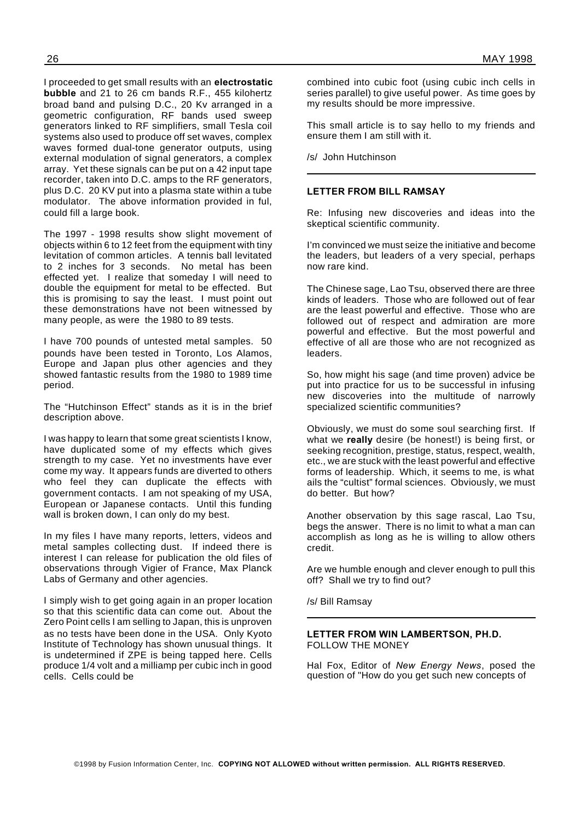I proceeded to get small results with an **electrostatic bubble** and 21 to 26 cm bands R.F., 455 kilohertz broad band and pulsing D.C., 20 Kv arranged in a geometric configuration, RF bands used sweep generators linked to RF simplifiers, small Tesla coil systems also used to produce off set waves, complex waves formed dual-tone generator outputs, using external modulation of signal generators, a complex array. Yet these signals can be put on a 42 input tape recorder, taken into D.C. amps to the RF generators, plus D.C. 20 KV put into a plasma state within a tube modulator. The above information provided in ful,

could fill a large book.

The 1997 - 1998 results show slight movement of objects within 6 to 12 feet from the equipment with tiny levitation of common articles. A tennis ball levitated to 2 inches for 3 seconds. No metal has been effected yet. I realize that someday I will need to double the equipment for metal to be effected. But this is promising to say the least. I must point out these demonstrations have not been witnessed by many people, as were the 1980 to 89 tests.

I have 700 pounds of untested metal samples. 50 pounds have been tested in Toronto, Los Alamos, Europe and Japan plus other agencies and they showed fantastic results from the 1980 to 1989 time period.

The "Hutchinson Effect" stands as it is in the brief description above.

I was happy to learn that some great scientists I know, have duplicated some of my effects which gives strength to my case. Yet no investments have ever come my way. It appears funds are diverted to others who feel they can duplicate the effects with government contacts. I am not speaking of my USA, European or Japanese contacts. Until this funding wall is broken down, I can only do my best.

In my files I have many reports, letters, videos and metal samples collecting dust. If indeed there is interest I can release for publication the old files of observations through Vigier of France, Max Planck Labs of Germany and other agencies.

I simply wish to get going again in an proper location so that this scientific data can come out. About the Zero Point cells I am selling to Japan, this is unproven as no tests have been done in the USA. Only Kyoto Institute of Technology has shown unusual things. It is undetermined if ZPE is being tapped here. Cells produce 1/4 volt and a milliamp per cubic inch in good cells. Cells could be

combined into cubic foot (using cubic inch cells in series parallel) to give useful power. As time goes by my results should be more impressive.

This small article is to say hello to my friends and ensure them I am still with it.

/s/ John Hutchinson

# **LETTER FROM BILL RAMSAY**

Re: Infusing new discoveries and ideas into the skeptical scientific community.

I'm convinced we must seize the initiative and become the leaders, but leaders of a very special, perhaps now rare kind.

The Chinese sage, Lao Tsu, observed there are three kinds of leaders. Those who are followed out of fear are the least powerful and effective. Those who are followed out of respect and admiration are more powerful and effective. But the most powerful and effective of all are those who are not recognized as leaders.

So, how might his sage (and time proven) advice be put into practice for us to be successful in infusing new discoveries into the multitude of narrowly specialized scientific communities?

Obviously, we must do some soul searching first. If what we **really** desire (be honest!) is being first, or seeking recognition, prestige, status, respect, wealth, etc., we are stuck with the least powerful and effective forms of leadership. Which, it seems to me, is what ails the "cultist" formal sciences. Obviously, we must do better. But how?

Another observation by this sage rascal, Lao Tsu, begs the answer. There is no limit to what a man can accomplish as long as he is willing to allow others credit.

Are we humble enough and clever enough to pull this off? Shall we try to find out?

/s/ Bill Ramsay

#### **LETTER FROM WIN LAMBERTSON, PH.D.** FOLLOW THE MONEY

Hal Fox, Editor of *New Energy News*, posed the question of "How do you get such new concepts of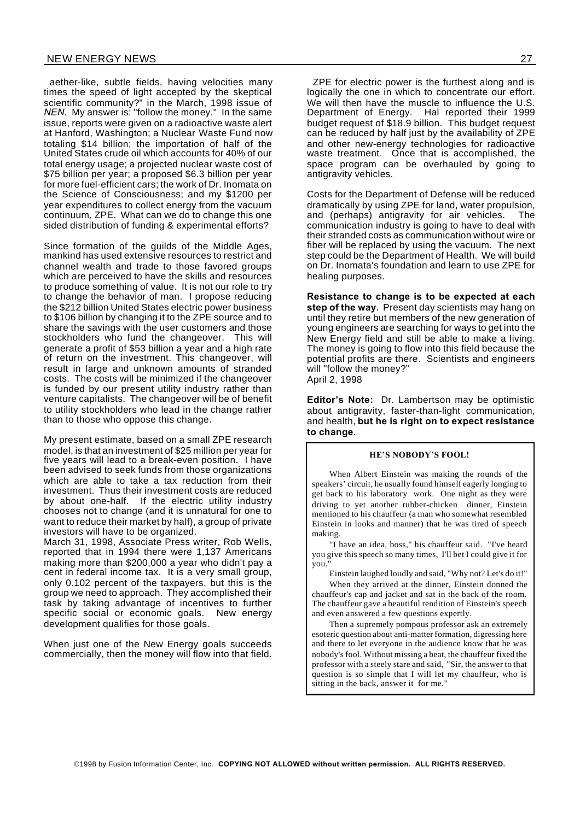aether-like, subtle fields, having velocities many times the speed of light accepted by the skeptical scientific community?" in the March, 1998 issue of *NEN*. My answer is: "follow the money." In the same issue, reports were given on a radioactive waste alert at Hanford, Washington; a Nuclear Waste Fund now totaling \$14 billion; the importation of half of the United States crude oil which accounts for 40% of our total energy usage; a projected nuclear waste cost of \$75 billion per year; a proposed \$6.3 billion per year for more fuel-efficient cars; the work of Dr. Inomata on the Science of Consciousness; and my \$1200 per year expenditures to collect energy from the vacuum continuum, ZPE. What can we do to change this one sided distribution of funding & experimental efforts?

Since formation of the guilds of the Middle Ages, mankind has used extensive resources to restrict and channel wealth and trade to those favored groups which are perceived to have the skills and resources to produce something of value. It is not our role to try to change the behavior of man. I propose reducing the \$212 billion United States electric power business to \$106 billion by changing it to the ZPE source and to share the savings with the user customers and those stockholders who fund the changeover. This will generate a profit of \$53 billion a year and a high rate of return on the investment. This changeover, will result in large and unknown amounts of stranded costs. The costs will be minimized if the changeover is funded by our present utility industry rather than venture capitalists. The changeover will be of benefit to utility stockholders who lead in the change rather than to those who oppose this change.

My present estimate, based on a small ZPE research model, is that an investment of \$25 million per year for five years will lead to a break-even position. I have been advised to seek funds from those organizations which are able to take a tax reduction from their investment. Thus their investment costs are reduced by about one-half. If the electric utility industry chooses not to change (and it is unnatural for one to want to reduce their market by half), a group of private investors will have to be organized.

March 31, 1998, Associate Press writer, Rob Wells, reported that in 1994 there were 1,137 Americans making more than \$200,000 a year who didn't pay a cent in federal income tax. It is a very small group, only 0.102 percent of the taxpayers, but this is the group we need to approach. They accomplished their task by taking advantage of incentives to further specific social or economic goals. New energy development qualifies for those goals.

When just one of the New Energy goals succeeds commercially, then the money will flow into that field.

ZPE for electric power is the furthest along and is logically the one in which to concentrate our effort. We will then have the muscle to influence the U.S. Department of Energy. Hal reported their 1999 budget request of \$18.9 billion. This budget request can be reduced by half just by the availability of ZPE and other new-energy technologies for radioactive waste treatment. Once that is accomplished, the space program can be overhauled by going to antigravity vehicles.

Costs for the Department of Defense will be reduced dramatically by using ZPE for land, water propulsion, and (perhaps) antigravity for air vehicles. The communication industry is going to have to deal with their stranded costs as communication without wire or fiber will be replaced by using the vacuum. The next step could be the Department of Health. We will build on Dr. Inomata's foundation and learn to use ZPE for healing purposes.

**Resistance to change is to be expected at each step of the way**. Present day scientists may hang on until they retire but members of the new generation of young engineers are searching for ways to get into the New Energy field and still be able to make a living. The money is going to flow into this field because the potential profits are there. Scientists and engineers will "follow the money?" April 2, 1998

**Editor's Note:** Dr. Lambertson may be optimistic about antigravity, faster-than-light communication, and health, **but he is right on to expect resistance to change.**

#### **HE'S NOBODY'S FOOL!**

When Albert Einstein was making the rounds of the speakers' circuit, he usually found himself eagerly longing to get back to his laboratory work. One night as they were driving to yet another rubber-chicken dinner, Einstein mentioned to his chauffeur (a man who somewhat resembled Einstein in looks and manner) that he was tired of speech making.

"I have an idea, boss," his chauffeur said. "I've heard you give this speech so many times, I'll bet I could give it for you.

Einstein laughed loudly and said, "Why not? Let's do it!"

When they arrived at the dinner, Einstein donned the chauffeur's cap and jacket and sat in the back of the room. The chauffeur gave a beautiful rendition of Einstein's speech and even answered a few questions expertly.

Then a supremely pompous professor ask an extremely esoteric question about anti-matter formation, digressing here and there to let everyone in the audience know that he was nobody's fool. Without missing a beat, the chauffeur fixed the professor with a steely stare and said, "Sir, the answer to that question is so simple that I will let my chauffeur, who is sitting in the back, answer it for me."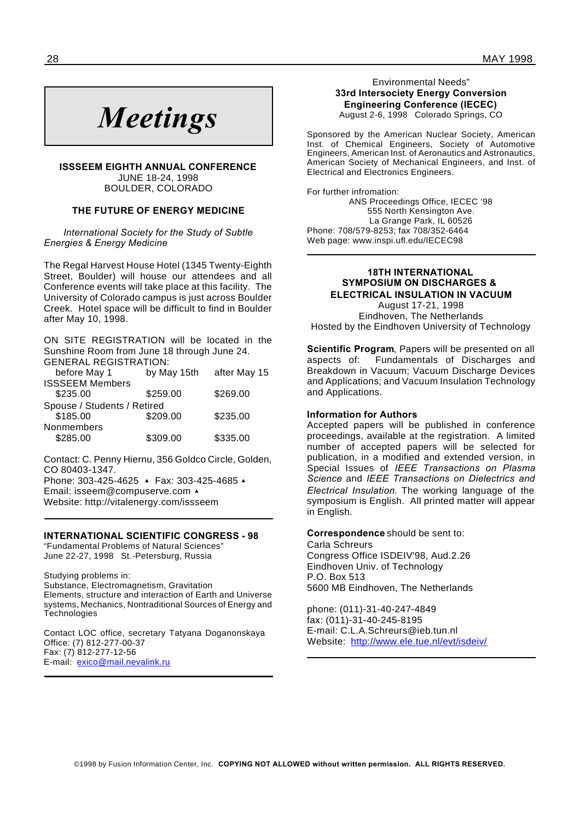# *Meetings*

**ISSSEEM EIGHTH ANNUAL CONFERENCE** JUNE 18-24, 1998 BOULDER, COLORADO

#### **THE FUTURE OF ENERGY MEDICINE**

*International Society for the Study of Subtle Energies & Energy Medicine*

The Regal Harvest House Hotel (1345 Twenty-Eighth Street, Boulder) will house our attendees and all Conference events will take place at this facility. The University of Colorado campus is just across Boulder Creek. Hotel space will be difficult to find in Boulder after May 10, 1998.

ON SITE REGISTRATION will be located in the Sunshine Room from June 18 through June 24. GENERAL REGISTRATION:

| before May 1                | by May 15th | after May 15 |
|-----------------------------|-------------|--------------|
| <b>ISSSEEM Members</b>      |             |              |
| \$235.00                    | \$259.00    | \$269.00     |
| Spouse / Students / Retired |             |              |
| \$185.00                    | \$209.00    | \$235.00     |
| Nonmembers                  |             |              |
| \$285.00                    | \$309.00    | \$335.00     |
|                             |             |              |

Contact: C. Penny Hiernu, 356 Goldco Circle, Golden, CO 80403-1347.

Phone: 303-425-4625 A Fax: 303-425-4685 A Email: isseem@compuserve.com  $\triangle$ Website: http://vitalenergy.com/issseem

#### **INTERNATIONAL SCIENTIFIC CONGRESS - 98**

"Fundamental Problems of Natural Sciences" June 22-27, 1998 St.-Petersburg, Russia

Studying problems in:

Substance, Electromagnetism, Gravitation Elements, structure and interaction of Earth and Universe systems, Mechanics, Nontraditional Sources of Energy and **Technologies** 

Contact LOC office, secretary Tatyana Doganonskaya Office: (7) 812-277-00-37 Fax: (7) 812-277-12-56 E-mail: exico@mail.nevalink.ru

Environmental Needs" **33rd Intersociety Energy Conversion Engineering Conference (IECEC)** August 2-6, 1998 Colorado Springs, CO

Sponsored by the American Nuclear Society, American Inst. of Chemical Engineers, Society of Automotive Engineers, American Inst. of Aeronautics and Astronautics, American Society of Mechanical Engineers, and Inst. of Electrical and Electronics Engineers.

For further infromation: ANS Proceedings Office, IECEC '98 555 North Kensington Ave. La Grange Park, IL 60526 Phone: 708/579-8253; fax 708/352-6464 Web page: www.inspi.ufl.edu/IECEC98

# **18TH INTERNATIONAL SYMPOSIUM ON DISCHARGES & ELECTRICAL INSULATION IN VACUUM**

August 17-21, 1998 Eindhoven, The Netherlands Hosted by the Eindhoven University of Technology

**Scientific Program**, Papers will be presented on all aspects of: Fundamentals of Discharges and Breakdown in Vacuum; Vacuum Discharge Devices and Applications; and Vacuum Insulation Technology and Applications.

#### **Information for Authors**

Accepted papers will be published in conference proceedings, available at the registration. A limited number of accepted papers will be selected for publication, in a modified and extended version, in Special Issues of *IEEE Transactions on Plasma Science* and *IEEE Transactions on Dielectrics and Electrical Insulation.* The working language of the symposium is English. All printed matter will appear in English.

#### **Correspondence** should be sent to:

Carla Schreurs Congress Office ISDEIV'98, Aud.2.26 Eindhoven Univ. of Technology P.O. Box 513 5600 MB Eindhoven, The Netherlands

phone: (011)-31-40-247-4849 fax: (011)-31-40-245-8195 E-mail: C.L.A.Schreurs@ieb.tun.nl Website: http://www.ele.tue.nl/evt/isdeiv/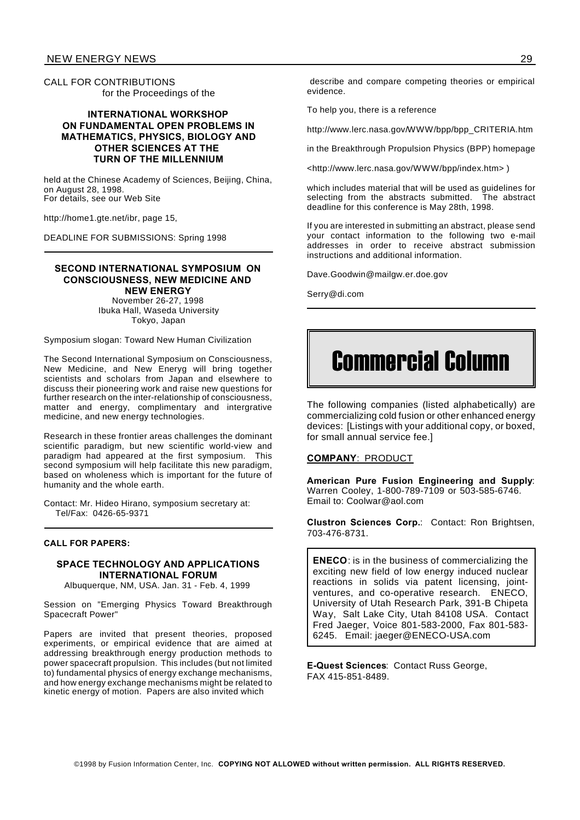CALL FOR CONTRIBUTIONS for the Proceedings of the

# **INTERNATIONAL WORKSHOP ON FUNDAMENTAL OPEN PROBLEMS IN MATHEMATICS, PHYSICS, BIOLOGY AND OTHER SCIENCES AT THE TURN OF THE MILLENNIUM**

held at the Chinese Academy of Sciences, Beijing, China, on August 28, 1998. For details, see our Web Site

http://home1.gte.net/ibr, page 15,

DEADLINE FOR SUBMISSIONS: Spring 1998

#### **SECOND INTERNATIONAL SYMPOSIUM ON CONSCIOUSNESS, NEW MEDICINE AND NEW ENERGY**

November 26-27, 1998 Ibuka Hall, Waseda University Tokyo, Japan

Symposium slogan: Toward New Human Civilization

The Second International Symposium on Consciousness, New Medicine, and New Eneryg will bring together scientists and scholars from Japan and elsewhere to discuss their pioneering work and raise new questions for further research on the inter-relationship of consciousness, matter and energy, complimentary and intergrative medicine, and new energy technologies.

Research in these frontier areas challenges the dominant scientific paradigm, but new scientific world-view and paradigm had appeared at the first symposium. This second symposium will help facilitate this new paradigm, based on wholeness which is important for the future of humanity and the whole earth.

Contact: Mr. Hideo Hirano, symposium secretary at: Tel/Fax: 0426-65-9371

#### **CALL FOR PAPERS:**

# **SPACE TECHNOLOGY AND APPLICATIONS INTERNATIONAL FORUM**

Albuquerque, NM, USA. Jan. 31 - Feb. 4, 1999

Session on "Emerging Physics Toward Breakthrough Spacecraft Power"

Papers are invited that present theories, proposed experiments, or empirical evidence that are aimed at addressing breakthrough energy production methods to power spacecraft propulsion. This includes (but not limited to) fundamental physics of energy exchange mechanisms, and how energy exchange mechanisms might be related to kinetic energy of motion. Papers are also invited which

describe and compare competing theories or empirical evidence.

To help you, there is a reference

http://www.lerc.nasa.gov/WWW/bpp/bpp\_CRITERIA.htm

in the Breakthrough Propulsion Physics (BPP) homepage

<http://www.lerc.nasa.gov/WWW/bpp/index.htm> )

which includes material that will be used as guidelines for selecting from the abstracts submitted. The abstract deadline for this conference is May 28th, 1998.

If you are interested in submitting an abstract, please send your contact information to the following two e-mail addresses in order to receive abstract submission instructions and additional information.

Dave.Goodwin@mailgw.er.doe.gov

Serry@di.com

# Commercial Column

The following companies (listed alphabetically) are commercializing cold fusion or other enhanced energy devices: [Listings with your additional copy, or boxed, for small annual service fee.]

#### **COMPANY**: PRODUCT

**American Pure Fusion Engineering and Supply**: Warren Cooley, 1-800-789-7109 or 503-585-6746. Email to: Coolwar@aol.com

**Clustron Sciences Corp.**: Contact: Ron Brightsen, 703-476-8731.

**ENECO**: is in the business of commercializing the exciting new field of low energy induced nuclear reactions in solids via patent licensing, jointventures, and co-operative research. ENECO, University of Utah Research Park, 391-B Chipeta Way, Salt Lake City, Utah 84108 USA. Contact Fred Jaeger, Voice 801-583-2000, Fax 801-583- 6245. Email: jaeger@ENECO-USA.com

**E-Quest Sciences**: Contact Russ George, FAX 415-851-8489.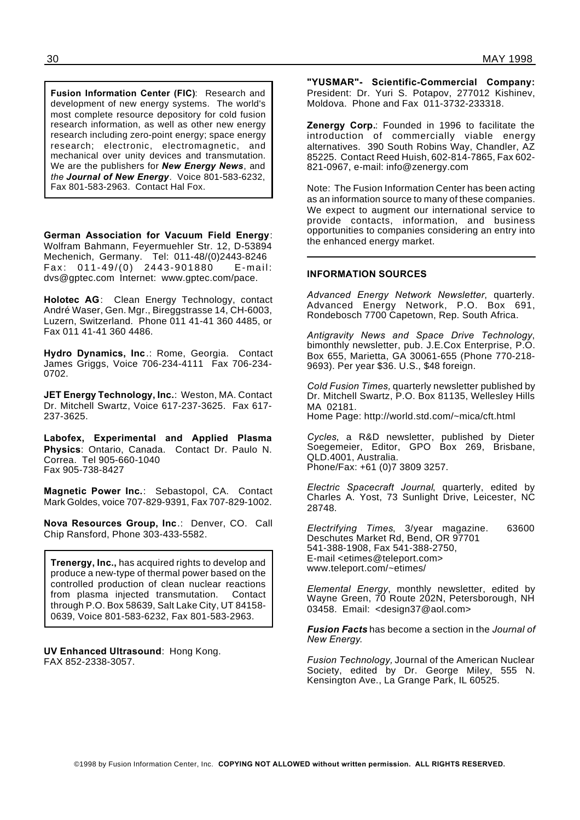**Fusion Information Center (FIC)**: Research and development of new energy systems. The world's most complete resource depository for cold fusion research information, as well as other new energy research including zero-point energy; space energy research; electronic, electromagnetic, and mechanical over unity devices and transmutation. We are the publishers for *New Energy News*, and *the Journal of New Energy.* Voice 801-583-6232, Fax 801-583-2963. Contact Hal Fox.

**German Association for Vacuum Field Energy**: Wolfram Bahmann, Feyermuehler Str. 12, D-53894 Mechenich, Germany. Tel: 011-48/(0)2443-8246 Fax : 011-49/ (0) 2443-901880 E-mail: dvs@gptec.com Internet: www.gptec.com/pace.

**Holotec AG**: Clean Energy Technology, contact André Waser, Gen. Mgr., Bireggstrasse 14, CH-6003, Luzern, Switzerland. Phone 011 41-41 360 4485, or Fax 011 41-41 360 4486.

**Hydro Dynamics, Inc**.: Rome, Georgia. Contact James Griggs, Voice 706-234-4111 Fax 706-234- 0702.

**JET Energy Technology, Inc.**: Weston, MA. Contact Dr. Mitchell Swartz, Voice 617-237-3625. Fax 617- 237-3625.

**Labofex, Experimental and Applied Plasma Physics**: Ontario, Canada. Contact Dr. Paulo N. Correa. Tel 905-660-1040 Fax 905-738-8427

**Magnetic Power Inc.**: Sebastopol, CA. Contact Mark Goldes, voice 707-829-9391, Fax 707-829-1002.

**Nova Resources Group, Inc**.: Denver, CO. Call Chip Ransford, Phone 303-433-5582.

**Trenergy, Inc.,** has acquired rights to develop and produce a new-type of thermal power based on the controlled production of clean nuclear reactions from plasma injected transmutation. Contact through P.O. Box 58639, Salt Lake City, UT 84158- 0639, Voice 801-583-6232, Fax 801-583-2963.

**UV Enhanced Ultrasound**: Hong Kong. FAX 852-2338-3057.

**"YUSMAR"- Scientific-Commercial Company:** President: Dr. Yuri S. Potapov, 277012 Kishinev, Moldova. Phone and Fax 011-3732-233318.

**Zenergy Corp.**: Founded in 1996 to facilitate the introduction of commercially viable energy alternatives. 390 South Robins Way, Chandler, AZ 85225. Contact Reed Huish, 602-814-7865, Fax 602- 821-0967, e-mail: info@zenergy.com

Note: The Fusion Information Center has been acting as an information source to many of these companies. We expect to augment our international service to provide contacts, information, and business opportunities to companies considering an entry into the enhanced energy market.

# **INFORMATION SOURCES**

*Advanced Energy Network Newsletter*, quarterly. Advanced Energy Network, P.O. Box 691, Rondebosch 7700 Capetown, Rep. South Africa.

*Antigravity News and Space Drive Technology*, bimonthly newsletter, pub. J.E.Cox Enterprise, P.O. Box 655, Marietta, GA 30061-655 (Phone 770-218- 9693). Per year \$36. U.S., \$48 foreign.

*Cold Fusion Times,* quarterly newsletter published by Dr. Mitchell Swartz, P.O. Box 81135, Wellesley Hills MA 02181.

Home Page: http://world.std.com/~mica/cft.html

*Cycles*, a R&D newsletter, published by Dieter Soegemeier, Editor, GPO Box 269, Brisbane, QLD.4001, Australia. Phone/Fax: +61 (0)7 3809 3257.

*Electric Spacecraft Journal*, quarterly, edited by Charles A. Yost, 73 Sunlight Drive, Leicester, NC 28748.

*Electrifying Times*, 3/year magazine. 63600 Deschutes Market Rd, Bend, OR 97701 541-388-1908, Fax 541-388-2750, E-mail <etimes@teleport.com> www.teleport.com/~etimes/

*Elemental Energy*, monthly newsletter, edited by Wayne Green, 70 Route 202N, Petersborough, NH 03458. Email: <design37@aol.com>

*Fusion Facts* has become a section in the *Journal of New Energy*.

*Fusion Technology,* Journal of the American Nuclear Society, edited by Dr. George Miley, 555 N. Kensington Ave., La Grange Park, IL 60525.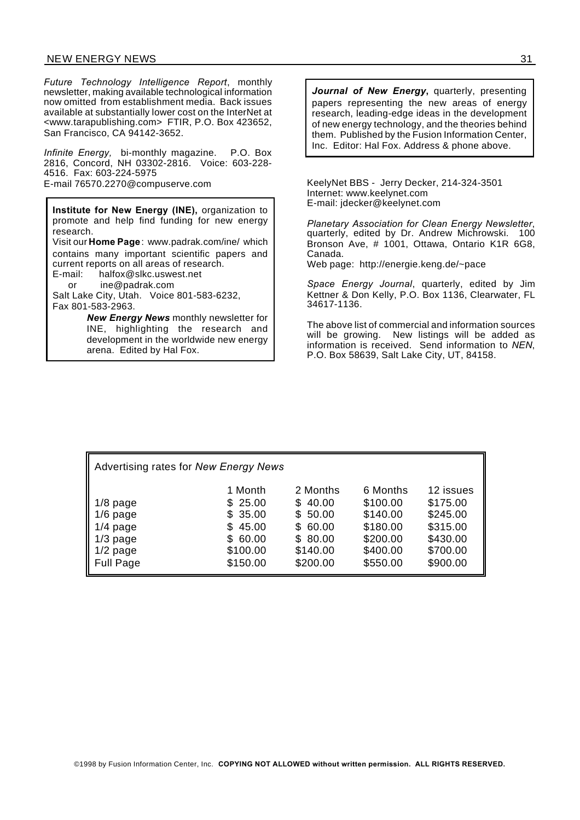# NEW ENERGY NEWS 31

*Future Technology Intelligence Report*, monthly newsletter, making available technological information now omitted from establishment media. Back issues available at substantially lower cost on the InterNet at <www.tarapublishing.com> FTIR, P.O. Box 423652, San Francisco, CA 94142-3652.

*Infinite Energy,* bi-monthly magazine. P.O. Box 2816, Concord, NH 03302-2816. Voice: 603-228- 4516. Fax: 603-224-5975 E-mail 76570.2270@compuserve.com KeelyNet BBS - Jerry Decker, 214-324-3501

**Institute for New Energy (INE),** organization to promote and help find funding for new energy research. Visit our **Home Page**: www.padrak.com/ine/ which contains many important scientific papers and current reports on all areas of research. E-mail: halfox@slkc.uswest.net or ine@padrak.com Salt Lake City, Utah. Voice 801-583-6232,

Fax 801-583-2963. *New Energy News* monthly newsletter for INE, highlighting the research and development in the worldwide new energy

arena. Edited by Hal Fox.

*Journal of New Energy***,** quarterly, presenting papers representing the new areas of energy research, leading-edge ideas in the development of new energy technology, and the theories behind them. Published by the Fusion Information Center, Inc. Editor: Hal Fox. Address & phone above.

Internet: www.keelynet.com E-mail: jdecker@keelynet.com

*Planetary Association for Clean Energy Newsletter*, quarterly, edited by Dr. Andrew Michrowski. 100 Bronson Ave, # 1001, Ottawa, Ontario K1R 6G8, Canada.

Web page: http://energie.keng.de/~pace

*Space Energy Journal*, quarterly, edited by Jim Kettner & Don Kelly, P.O. Box 1136, Clearwater, FL 34617-1136.

The above list of commercial and information sources will be growing. New listings will be added as information is received. Send information to *NEN*, P.O. Box 58639, Salt Lake City, UT, 84158.

| Advertising rates for New Energy News |              |          |          |           |
|---------------------------------------|--------------|----------|----------|-----------|
|                                       | 1 Month      | 2 Months | 6 Months | 12 issues |
| $1/8$ page                            | \$25.00      | \$40.00  | \$100.00 | \$175.00  |
| $1/6$ page                            | \$35.00      | \$50.00  | \$140.00 | \$245.00  |
| $1/4$ page                            | \$45.00      | \$60.00  | \$180.00 | \$315.00  |
| $1/3$ page                            | 60.00<br>SS. | \$80.00  | \$200.00 | \$430.00  |
| $1/2$ page                            | \$100.00     | \$140.00 | \$400.00 | \$700.00  |
| <b>Full Page</b>                      | \$150.00     | \$200.00 | \$550.00 | \$900.00  |